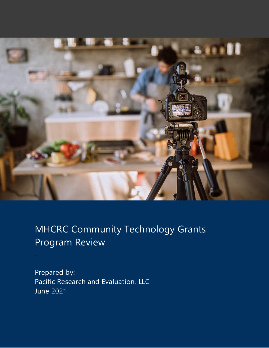

# MHCRC Community Technology Grants Program Review

Prepared by: Pacific Research and Evaluation, LLC June 2021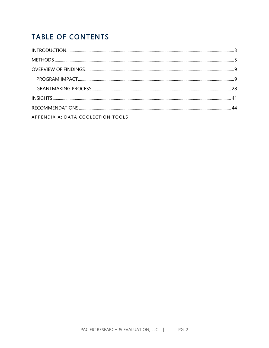# **TABLE OF CONTENTS**

| APPENDIX A: DATA COOLECTION TOOLS |  |
|-----------------------------------|--|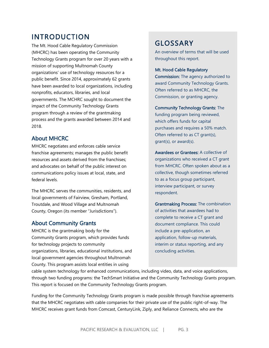# <span id="page-2-0"></span>INTRODUCTION

The Mt. Hood Cable Regulatory Commission (MHCRC) has been operating the Community Technology Grants program for over 20 years with a mission of supporting Multnomah County organizations' use of technology resources for a public benefit. Since 2014, approximately 62 grants have been awarded to local organizations, including nonprofits, educators, libraries, and local governments. The MCHRC sought to document the impact of the Community Technology Grants program through a review of the grantmaking process and the grants awarded between 2014 and 2018.

### About MHCRC

MHCRC negotiates and enforces cable service franchise agreements; manages the public benefit resources and assets derived from the franchises; and advocates on behalf of the public interest on communications policy issues at local, state, and federal levels.

The MHCRC serves the communities, residents, and local governments of Fairview, Gresham, Portland, Troutdale, and Wood Village and Multnomah County, Oregon (its member "Jurisdictions").

### About Community Grants

MHCRC is the grantmaking body for the Community Grants program, which provides funds for technology projects to community organizations, libraries, educational institutions, and local government agencies throughout Multnomah County. This program assists local entities in using

# GLOSSARY

An overview of terms that will be used throughout this report.

Mt. Hood Cable Regulatory

Commission: The agency authorized to award Community Technology Grants. Often referred to as MHCRC, the Commission, or granting agency.

Community Technology Grants: The funding program being reviewed, which offers funds for capital purchases and requires a 50% match. Often referred to as CT grant(s),

grant(s), or award(s).

Awardees or Grantees: A collective of organizations who received a CT grant from MHCRC. Often spoken about as a collective, though sometimes referred to as a focus group participant, interview participant, or survey respondent.

Grantmaking Process: The combination of activities that awardees had to complete to receive a CT grant and document compliance. This could include a pre-application, an application, follow-up materials, interim or status reporting, and any concluding activities.

cable system technology for enhanced communications, including video, data, and voice applications, through two funding programs: the TechSmart Initiative and the Community Technology Grants program. This report is focused on the Community Technology Grants program.

Funding for the Community Technology Grants program is made possible through franchise agreements that the MHCRC negotiates with cable companies for their private use of the public right-of-way. The MHCRC receives grant funds from Comcast, CenturyLink, Ziply, and Reliance Connects, who are the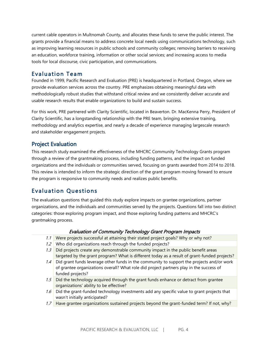current cable operators in Multnomah County, and allocates these funds to serve the public interest. The grants provide a financial means to address concrete local needs using communications technology, such as improving learning resources in public schools and community colleges; removing barriers to receiving an education, workforce training, information or other social services; and increasing access to media tools for local discourse, civic participation, and communications.

### Evaluation Team

Founded in 1999, Pacific Research and Evaluation (PRE) is headquartered in Portland, Oregon, where we provide evaluation services across the country. PRE emphasizes obtaining meaningful data with methodologically robust studies that withstand critical review and we consistently deliver accurate and usable research results that enable organizations to build and sustain success.

For this work, PRE partnered with Clarity Scientific, located in Beaverton. Dr. MacKenna Perry, President of Clarity Scientific, has a longstanding relationship with the PRE team, bringing extensive training, methodology and analytics expertise, and nearly a decade of experience managing largescale research and stakeholder engagement projects.

### Project Evaluation

This research study examined the effectiveness of the MHCRC Community Technology Grants program through a review of the grantmaking process, including funding patterns, and the impact on funded organizations and the individuals or communities served, focusing on grants awarded from 2014 to 2018. This review is intended to inform the strategic direction of the grant program moving forward to ensure the program is responsive to community needs and realizes public benefits.

# Evaluation Questions

The evaluation questions that guided this study explore impacts on grantee organizations, partner organizations, and the individuals and communities served by the projects. Questions fall into two distinct categories: those exploring program impact, and those exploring funding patterns and MHCRC's grantmaking process.

#### Evaluation of Community Technology Grant Program Impacts

- 1.1 Were projects successful at attaining their stated project goals? Why or why not?
- 1.2 Who did organizations reach through the funded projects?
- 1.3 Did projects create any demonstrable community impact in the public benefit areas targeted by the grant program? What is different today as a result of grant-funded projects?
- 1.4 Did grant funds leverage other funds in the community to support the projects and/or work of grantee organizations overall? What role did project partners play in the success of funded projects?
- 1.5 Did the technology acquired through the grant funds enhance or detract from grantee organizations' ability to be effective?
- $1.6$  Did the grant-funded technology investments add any specific value to grant projects that wasn't initially anticipated?
- 1.7 Have grantee organizations sustained projects beyond the grant-funded term? If not, why?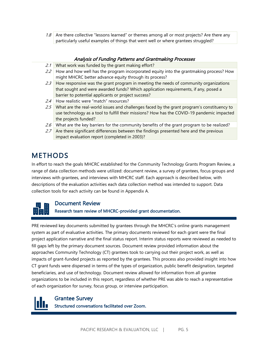1.8 Are there collective "lessons learned" or themes among all or most projects? Are there any particularly useful examples of things that went well or where grantees struggled?

#### Analysis of Funding Patterns and Grantmaking Processes

- 2.1 What work was funded by the grant making effort?
- 2.2 How and how well has the program incorporated equity into the grantmaking process? How might MHCRC better advance equity through its process?
- 2.3 How responsive was the grant program in meeting the needs of community organizations that sought and were awarded funds? Which application requirements, if any, posed a barrier to potential applicants or project success?
- 2.4 How realistic were "match" resources?
- 2.5 What are the real-world issues and challenges faced by the grant program's constituency to use technology as a tool to fulfill their missions? How has the COVID-19 pandemic impacted the projects funded?
- 2.6 What are the key barriers for the community benefits of the grant program to be realized?
- 2.7 Are there significant differences between the findings presented here and the previous impact evaluation report (completed in 2003)?

# <span id="page-4-0"></span>METHODS

In effort to reach the goals MHCRC established for the Community Technology Grants Program Review, a range of data collection methods were utilized: document review, a survey of grantees, focus groups and interviews with grantees, and interviews with MHCRC staff. Each approach is described below, with descriptions of the evaluation activities each data collection method was intended to support. Data collection tools for each activity can be found in Appendix A.



### Document Review

Research team review of MHCRC-provided grant documentation.

PRE reviewed key documents submitted by grantees through the MHCRC's online grants management system as part of evaluative activities. The primary documents reviewed for each grant were the final project application narrative and the final status report. Interim status reports were reviewed as needed to fill gaps left by the primary document sources. Document review provided information about the approaches Community Technology (CT) grantees took to carrying out their project work, as well as impacts of grant-funded projects as reported by the grantees. This process also provided insight into how CT grant funds were dispersed in terms of the types of organization, public benefit designation, targeted beneficiaries, and use of technology. Document review allowed for information from all grantee organizations to be included in this report, regardless of whether PRE was able to reach a representative of each organization for survey, focus group, or interview participation.

#### Grantee Survey

Structured conversations facilitated over Zoom.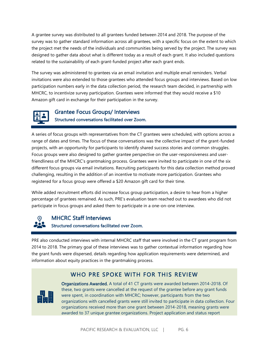A grantee survey was distributed to all grantees funded between 2014 and 2018. The purpose of the survey was to gather standard information across all grantees, with a specific focus on the extent to which the project met the needs of the individuals and communities being served by the project. The survey was designed to gather data about what is different today as a result of each grant. It also included questions related to the sustainability of each grant-funded project after each grant ends.

The survey was administered to grantees via an email invitation and multiple email reminders. Verbal invitations were also extended to those grantees who attended focus groups and interviews. Based on low participation numbers early in the data collection period, the research team decided, in partnership with MHCRC, to incentivize survey participation. Grantees were informed that they would receive a \$10 Amazon gift card in exchange for their participation in the survey.



# Grantee Focus Groups/ Interviews Structured conversations facilitated over Zoom.

A series of focus groups with representatives from the CT grantees were scheduled, with options across a range of dates and times. The focus of these conversations was the collective impact of the grant-funded projects, with an opportunity for participants to identify shared success stories and common struggles. Focus groups were also designed to gather grantee perspective on the user-responsiveness and userfriendliness of the MHCRC's grantmaking process. Grantees were invited to participate in one of the six different focus groups via email invitations. Recruiting participants for this data collection method proved challenging, resulting in the addition of an incentive to motivate more participation. Grantees who registered for a focus group were offered a \$20 Amazon gift card for their time.

While added recruitment efforts did increase focus group participation, a desire to hear from a higher percentage of grantees remained. As such, PRE's evaluation team reached out to awardees who did not participate in focus groups and asked them to participate in a one-on-one interview.

# MHCRC Staff Interviews Structured conversations facilitated over Zoom.

PRE also conducted interviews with internal MHCRC staff that were involved in the CT grant program from 2014 to 2018. The primary goal of these interviews was to gather contextual information regarding how the grant funds were dispersed, details regarding how application requirements were determined, and information about equity practices in the grantmaking process.

## WHO PRE SPOKE WITH FOR THIS REVIEW



Organizations Awarded. A total of 41 CT grants were awarded between 2014-2018. Of these, two grants were cancelled at the request of the grantee before any grant funds were spent, in coordination with MHCRC; however, participants from the two organizations with cancelled grants were still invited to participate in data collection. Four organizations received more than one grant between 2014-2018, meaning grants were awarded to 37 unique grantee organizations. Project application and status report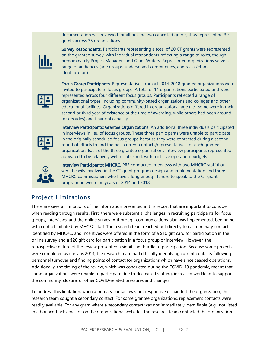documentation was reviewed for all but the two cancelled grants, thus representing 39 grants across 35 organizations.



Survey Respondents. Participants representing a total of 20 CT grants were represented on the grantee survey, with individual respondents reflecting a range of roles, though predominately Project Managers and Grant Writers. Represented organizations serve a range of audiences (age groups, underserved communities, and racial/ethnic identification).



Focus Group Participants. Representatives from all 2014-2018 grantee organizations were invited to participate in focus groups. A total of 14 organizations participated and were represented across four different focus groups. Participants reflected a range of organizational types, including community-based organizations and colleges and other educational facilities. Organizations differed in organizational age (i.e., some were in their second or third year of existence at the time of awarding, while others had been around for decades) and financial capacity.



Interview Participants: Grantee Organizations. An additional three individuals participated in interviews in lieu of focus groups. These three participants were unable to participate in the originally scheduled focus groups because they were contacted during a second round of efforts to find the best current contacts/representatives for each grantee organization. Each of the three grantee organizations interview participants represented appeared to be relatively well-established, with mid-size operating budgets.



Interview Participants: MHCRC. PRE conducted interviews with two MHCRC staff that were heavily involved in the CT grant program design and implementation and three MHCRC commissioners who have a long enough tenure to speak to the CT grant program between the years of 2014 and 2018.

# Project Limitations

There are several limitations of the information presented in this report that are important to consider when reading through results. First, there were substantial challenges in recruiting participants for focus groups, interviews, and the online survey. A thorough communications plan was implemented, beginning with contact initiated by MHCRC staff. The research team reached out directly to each primary contact identified by MHCRC, and incentives were offered in the form of a \$10 gift card for participation in the online survey and a \$20 gift card for participation in a focus group or interview. However, the retrospective nature of the review presented a significant hurdle to participation. Because some projects were completed as early as 2014, the research team had difficulty identifying current contacts following personnel turnover and finding points of contact for organizations which have since ceased operations. Additionally, the timing of the review, which was conducted during the COVID-19 pandemic, meant that some organizations were unable to participate due to decreased staffing, increased workload to support the community, closure, or other COVID-related pressures and changes.

To address this limitation, when a primary contact was not responsive or had left the organization, the research team sought a secondary contact. For some grantee organizations, replacement contacts were readily available. For any grant where a secondary contact was not immediately identifiable (e.g., not listed in a bounce-back email or on the organizational website), the research team contacted the organization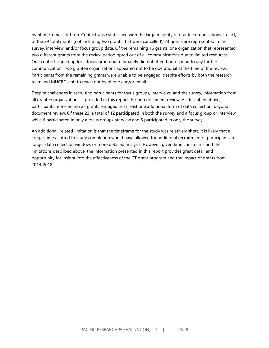by phone, email, or both. Contact was established with the large majority of grantee organizations. In fact, of the 39 total grants (not including two grants that were cancelled), 23 grants are represented in the survey, interview, and/or focus group data. Of the remaining 16 grants, one organization that represented two different grants from the review period opted out of all communications due to limited resources. One contact signed up for a focus group but ultimately did not attend or respond to any further communication. Two grantee organizations appeared not to be operational at the time of the review. Participants from the remaining grants were unable to be engaged, despite efforts by both the research team and MHCRC staff to reach out by phone and/or email.

Despite challenges in recruiting participants for focus groups, interviews, and the survey, information from all grantee organizations is provided in this report through document review. As described above, participants representing 23 grants engaged in at least one additional form of data collection, beyond document review. Of these 23, a total of 12 participated in both the survey and a focus group or interview, while 6 participated in only a focus group/interview and 5 participated in only the survey.

An additional, related limitation is that the timeframe for the study was relatively short. It is likely that a longer time allotted to study completion would have allowed for additional recruitment of participants, a longer data collection window, or more detailed analysis. However, given time constraints and the limitations described above, the information presented in this report provides great detail and opportunity for insight into the effectiveness of the CT grant program and the impact of grants from 2014-2018.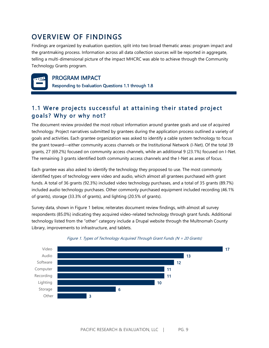# <span id="page-8-0"></span>OVERVIEW OF FINDINGS

Findings are organized by evaluation question, split into two broad thematic areas: program impact and the grantmaking process. Information across all data collection sources will be reported in aggregate, telling a multi-dimensional picture of the impact MHCRC was able to achieve through the Community Technology Grants program.



### PROGRAM IMPACT

<span id="page-8-1"></span>Responding to Evaluation Questions 1.1 through 1.8

# 1.1 Were projects successful at attaining their stated project goals? Why or why not?

The document review provided the most robust information around grantee goals and use of acquired technology. Project narratives submitted by grantees during the application process outlined a variety of goals and activities. Each grantee organization was asked to identify a cable system technology to focus the grant toward—either community access channels or the Institutional Network (I-Net). Of the total 39 grants, 27 (69.2%) focused on community access channels, while an additional 9 (23.1%) focused on I-Net. The remaining 3 grants identified both community access channels and the I-Net as areas of focus.

Each grantee was also asked to identify the technology they proposed to use. The most commonly identified types of technology were video and audio, which almost all grantees purchased with grant funds. A total of 36 grants (92.3%) included video technology purchases, and a total of 35 grants (89.7%) included audio technology purchases. Other commonly purchased equipment included recording (46.1% of grants), storage (33.3% of grants), and lighting (20.5% of grants).

Survey data, shown in Figure 1 below, reiterates document review findings, with almost all survey respondents (85.0%) indicating they acquired video-related technology through grant funds. Additional technology listed from the "other" category include a Drupal website through the Multnomah County Library, improvements to infrastructure, and tablets.



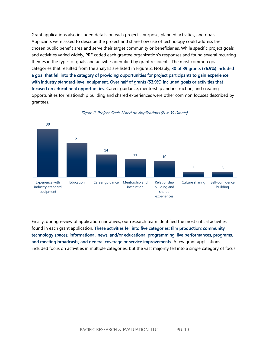Grant applications also included details on each project's purpose, planned activities, and goals. Applicants were asked to describe the project and share how use of technology could address their chosen public benefit area and serve their target community or beneficiaries. While specific project goals and activities varied widely, PRE coded each grantee organization's responses and found several recurring themes in the types of goals and activities identified by grant recipients. The most common goal categories that resulted from the analysis are listed in Figure 2. Notably, 30 of 39 grants (76.9%) included a goal that fell into the category of providing opportunities for project participants to gain experience with industry standard-level equipment. Over half of grants (53.9%) included goals or activities that focused on educational opportunities. Career guidance, mentorship and instruction, and creating opportunities for relationship building and shared experiences were other common focuses described by grantees.



Figure 2. Project Goals Listed on Applications (N = 39 Grants)

Finally, during review of application narratives, our research team identified the most critical activities found in each grant application. These activities fell into five categories: film production; community technology spaces; informational, news, and/or educational programming; live performances, programs, and meeting broadcasts; and general coverage or service improvements. A few grant applications included focus on activities in multiple categories, but the vast majority fell into a single category of focus.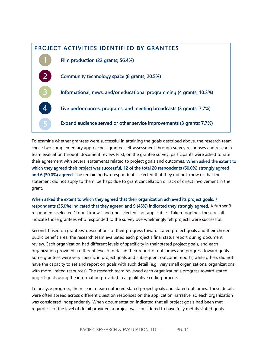

To examine whether grantees were successful in attaining the goals described above, the research team chose two complementary approaches: grantee self-assessment through survey responses and research team evaluation through document review. First, on the grantee survey, participants were asked to rate their agreement with several statements related to project goals and outcomes. When asked the extent to which they agreed their project was successful, 12 of the total 20 respondents (60.0%) strongly agreed and 6 (30.0%) agreed. The remaining two respondents selected that they did not know or that the statement did not apply to them, perhaps due to grant cancellation or lack of direct involvement in the grant.

When asked the extent to which they agreed that their organization achieved its project goals, 7 respondents (35.0%) indicated that they agreed and 9 (45%) indicated they strongly agreed. A further 3 respondents selected "I don't know," and one selected "not applicable." Taken together, these results indicate those grantees who responded to the survey overwhelmingly felt projects were successful.

Second, based on grantees' descriptions of their progress toward stated project goals and their chosen public benefit area, the research team evaluated each project's final status report during document review. Each organization had different levels of specificity in their stated project goals, and each organization provided a different level of detail in their report of outcomes and progress toward goals. Some grantees were very specific in project goals and subsequent outcome reports, while others did not have the capacity to set and report on goals with such detail (e.g., very small organizations, organizations with more limited resources). The research team reviewed each organization's progress toward stated project goals using the information provided in a qualitative coding process.

To analyze progress, the research team gathered stated project goals and stated outcomes. These details were often spread across different question responses on the application narrative, so each organization was considered independently. When documentation indicated that all project goals had been met, regardless of the level of detail provided, a project was considered to have fully met its stated goals.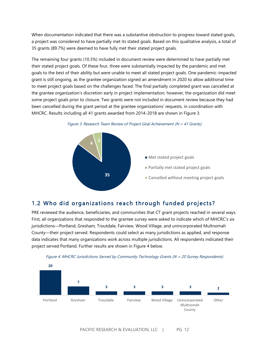When documentation indicated that there was a substantive obstruction to progress toward stated goals, a project was considered to have partially met its stated goals. Based on this qualitative analysis, a total of 35 grants (89.7%) were deemed to have fully met their stated project goals.

The remaining four grants (10.3%) included in document review were determined to have partially met their stated project goals. Of these four, three were substantially impacted by the pandemic and met goals to the best of their ability but were unable to meet all stated project goals. One pandemic-impacted grant is still ongoing, as the grantee organization signed an amendment in 2020 to allow additional time to meet project goals based on the challenges faced. The final partially completed grant was cancelled at the grantee organization's discretion early in project implementation; however, the organization did meet some project goals prior to closure. Two grants were not included in document review because they had been cancelled during the grant period at the grantee organizations' requests, in coordination with MHCRC. Results including all 41 grants awarded from 2014-2018 are shown in Figure 3.





## 1.2 Who did organizations reach through funded projects?

PRE reviewed the audience, beneficiaries, and communities that CT grant projects reached in several ways. First, all organizations that responded to the grantee survey were asked to indicate which of MHCRC's six jurisdictions—Portland, Gresham, Troutdale, Fairview, Wood Village, and unincorporated Multnomah County—their project served. Respondents could select as many jurisdictions as applied, and response data indicates that many organizations work across multiple jurisdictions. All respondents indicated their project served Portland. Further results are shown in Figure 4 below.



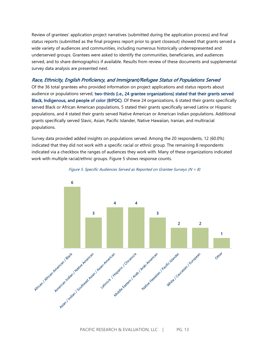Review of grantees' application project narratives (submitted during the application process) and final status reports (submitted as the final progress report prior to grant closeout) showed that grants served a wide variety of audiences and communities, including numerous historically underrepresented and underserved groups. Grantees were asked to identify the communities, beneficiaries, and audiences served, and to share demographics if available. Results from review of these documents and supplemental survey data analysis are presented next.

#### Race, Ethnicity, English Proficiency, and Immigrant/Refugee Status of Populations Served

Of the 36 total grantees who provided information on project applications and status reports about audience or populations served, two-thirds (i.e., 24 grantee organizations) stated that their grants served Black, Indigenous, and people of color (BIPOC). Of these 24 organizations, 6 stated their grants specifically served Black or African American populations, 5 stated their grants specifically served Latinx or Hispanic populations, and 4 stated their grants served Native American or American Indian populations. Additional grants specifically served Slavic, Asian, Pacific Islander, Native Hawaiian, Iranian, and multiracial populations.

Survey data provided added insights on populations served. Among the 20 respondents, 12 (60.0%) indicated that they did not work with a specific racial or ethnic group. The remaining 8 respondents indicated via a checkbox the ranges of audiences they work with. Many of these organizations indicated work with multiple racial/ethnic groups. Figure 5 shows response counts.



Figure 5. Specific Audiences Served as Reported on Grantee Surveys ( $N = 8$ )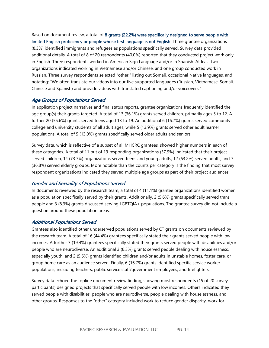Based on document review, a total of 8 grants (22.2%) were specifically designed to serve people with limited English proficiency or people whose first language is not English. Three grantee organizations (8.3%) identified immigrants and refugees as populations specifically served. Survey data provided additional details. A total of 8 of 20 respondents (40.0%) reported that they conducted project work only in English. Three respondents worked in American Sign Language and/or in Spanish. At least two organizations indicated working in Vietnamese and/or Chinese, and one group conducted work in Russian. Three survey respondents selected "other," listing out Somali, occasional Native languages, and notating: "We often translate our videos into our five supported languages (Russian, Vietnamese, Somali, Chinese and Spanish) and provide videos with translated captioning and/or voiceovers."

#### Age Groups of Populations Served

In application project narratives and final status reports, grantee organizations frequently identified the age group(s) their grants targeted. A total of 13 (36.1%) grants served children, primarily ages 5 to 12. A further 20 (55.6%) grants served teens aged 13 to 19. An additional 6 (16.7%) grants served community college and university students of all adult ages, while 5 (13.9%) grants served other adult learner populations. A total of 5 (13.9%) grants specifically served older adults and seniors.

Survey data, which is reflective of a subset of all MHCRC grantees, showed higher numbers in each of these categories. A total of 11 out of 19 responding organizations (57.9%) indicated that their project served children, 14 (73.7%) organizations served teens and young adults, 12 (63.2%) served adults, and 7 (36.8%) served elderly groups. More notable than the counts per category is the finding that most survey respondent organizations indicated they served multiple age groups as part of their project audiences.

#### Gender and Sexuality of Populations Served

In documents reviewed by the research team, a total of 4 (11.1%) grantee organizations identified women as a population specifically served by their grants. Additionally, 2 (5.6%) grants specifically served trans people and 3 (8.3%) grants discussed serving LGBTQIA+ populations. The grantee survey did not include a question around these population areas.

#### Additional Populations Served

Grantees also identified other underserved populations served by CT grants on documents reviewed by the research team. A total of 16 (44.4%) grantees specifically stated their grants served people with low incomes. A further 7 (19.4%) grantees specifically stated their grants served people with disabilities and/or people who are neurodiverse. An additional 3 (8.3%) grants served people dealing with houselessness, especially youth, and 2 (5.6%) grants identified children and/or adults in unstable homes, foster care, or group home care as an audience served. Finally, 6 (16.7%) grants identified specific service worker populations, including teachers, public service staff/government employees, and firefighters.

Survey data echoed the topline document review finding, showing most respondents (15 of 20 survey participants) designed projects that specifically served people with low incomes. Others indicated they served people with disabilities, people who are neurodiverse, people dealing with houselessness, and other groups. Responses to the "other" category included work to reduce gender disparity, work for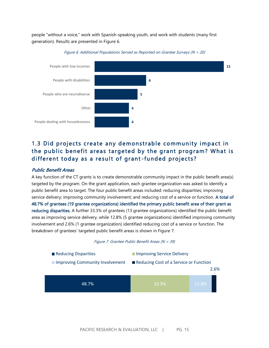people "without a voice," work with Spanish-speaking youth, and work with students (many first generation). Results are presented in Figure 6.





# 1.3 Did projects create any demonstrable community impact in the public benefit areas targeted by the grant program? What is different today as a result of grant-funded projects?

#### Public Benefit Areas

A key function of the CT grants is to create demonstrable community impact in the public benefit area(s) targeted by the program. On the grant application, each grantee organization was asked to identify a public benefit area to target. The four public benefit areas included: reducing disparities; improving service delivery; improving community involvement; and reducing cost of a service or function. A total of 48.7% of grantees (19 grantee organizations) identified the primary public benefit area of their grant as reducing disparities. A further 33.3% of grantees (13 grantee organizations) identified the public benefit area as improving service delivery, while 12.8% (5 grantee organizations) identified improving community involvement and 2.6% (1 grantee organization) identified reducing cost of a service or function. The breakdown of grantees' targeted public benefit areas is shown in Figure 7.

#### Figure 7. Grantee Public Benefit Areas (N = 39)

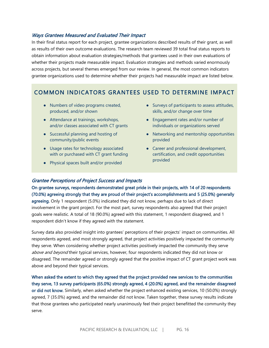#### Ways Grantees Measured and Evaluated Their Impact

In their final status report for each project, grantee organizations described results of their grant, as well as results of their own outcome evaluations. The research team reviewed 39 total final status reports to obtain information about evaluation strategies/methods that grantees used in their own evaluations of whether their projects made measurable impact. Evaluation strategies and methods varied enormously across projects, but several themes emerged from our review. In general, the most common indicators grantee organizations used to determine whether their projects had measurable impact are listed below.

# COMMON INDICATORS GRANTEES USED TO DETERMINE IMPACT

- Numbers of video programs created, produced, and/or shown
- Attendance at trainings, workshops, and/or classes associated with CT grants
- Successful planning and hosting of community/public events
- Usage rates for technology associated with or purchased with CT grant funding
- Physical spaces built and/or provided
- Surveys of participants to assess attitudes, skills, and/or change over time
- Engagement rates and/or number of individuals or organizations served
- Networking and mentorship opportunities provided
- Career and professional development, certification, and credit opportunities provided

#### Grantee Perceptions of Project Success and Impacts

On grantee surveys, respondents demonstrated great pride in their projects, with 14 of 20 respondents (70.0%) agreeing strongly that they are proud of their project's accomplishments and 5 (25.0%) generally agreeing. Only 1 respondent (5.0%) indicated they did not know, perhaps due to lack of direct involvement in the grant project. For the most part, survey respondents also agreed that their project goals were realistic. A total of 18 (90.0%) agreed with this statement, 1 respondent disagreed, and 1 respondent didn't know if they agreed with the statement.

Survey data also provided insight into grantees' perceptions of their projects' impact on communities. All respondents agreed, and most strongly agreed, that project activities positively impacted the community they serve. When considering whether project activities positively impacted the community they serve above and beyond their typical services, however, four respondents indicated they did not know or disagreed. The remainder agreed or strongly agreed that the positive impact of CT grant project work was above and beyond their typical services.

When asked the extent to which they agreed that the project provided new services to the communities they serve, 13 survey participants (65.0%) strongly agreed, 4 (20.0%) agreed, and the remainder disagreed or did not know. Similarly, when asked whether the project enhanced existing services, 10 (50.0%) strongly agreed, 7 (35.0%) agreed, and the remainder did not know. Taken together, these survey results indicate that those grantees who participated nearly unanimously feel their project benefitted the community they serve.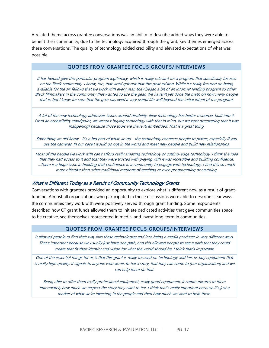A related theme across grantee conversations was an ability to describe added ways they were able to benefit their community, due to the technology acquired through the grant. Key themes emerged across these conversations. The quality of technology added credibility and elevated expectations of what was possible.

#### QUOTES FROM GRANTEE FOCUS GROUPS/INTERVIEWS

It has helped give this particular program legitimacy, which is really relevant for a program that specifically focuses on the Black community. I know, too, that word got out that this gear existed. While it's really focused on being available for the six fellows that we work with every year, they began a bit of an informal lending program to other Black filmmakers in the community that wanted to use the gear. We haven't yet done the math on how many people that is, but I know for sure that the gear has lived a very useful life well beyond the initial intent of the program.

A lot of the new technology addresses issues around disability. New technology has better resources built into it. From an accessibility standpoint, we weren't buying technology with that in mind, but we kept discovering that it was [happening] because those tools are [have it] embedded. That is a great thing.

Something we did know - it's a big part of what we do - the technology connects people to places, especially if you use the cameras. In our case I would go out in the world and meet new people and build new relationships.

Most of the people we work with can't afford really amazing technology or cutting-edge technology. I think the idea that they had access to it and that they were trusted with playing with it was incredible and building confidence. ...There is a huge issue in building that confidence in a community to engage with technology. I find this so much more effective than other traditional methods of teaching or even programming or anything.

#### What is Different Today as a Result of Community Technology Grants

Conversations with grantees provided an opportunity to explore what is different now as a result of grantfunding. Almost all organizations who participated in those discussions were able to describe clear ways the communities they work with were positively served through grant funding. Some respondents described how CT grant funds allowed them to initiate dedicated activities that gave communities space to be creative, see themselves represented in media, and invest long-term in communities.

#### QUOTES FROM GRANTEE FOCUS GROUPS/INTERVIEWS

It allowed people to find their way into these technologies and into being a media producer in very different ways. That's important because we usually just have one path, and this allowed people to see a path that they could create that fit their identity and vision for what the world should be. I think that's important.

One of the essential things for us is that this grant is really focused on technology and lets us buy equipment that is really high quality. It signals to anyone who wants to tell a story, that they can come to [our organization] and we can help them do that.

Being able to offer them really professional equipment, really good equipment, it communicates to them immediately how much we respect the story they want to tell. I think that's really important because it's just a marker of what we're investing in the people and then how much we want to help them.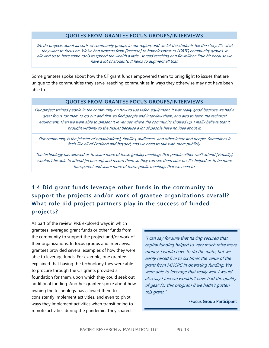#### QUOTES FROM GRANTEE FOCUS GROUPS/INTERVIEWS

We do projects about all sorts of community groups in our region, and we let the students tell the story. It's what they want to focus on. We've had projects from [location] to homelessness to LGBTQ community groups. It allowed us to have some tools to spread the wealth a little- spread teaching and flexibility a little bit because we have a lot of students. It helps to augment all that.

Some grantees spoke about how the CT grant funds empowered them to bring light to issues that are unique to the communities they serve, reaching communities in ways they otherwise may not have been able to.

#### QUOTES FROM GRANTEE FOCUS GROUPS/INTERVIEWS

Our project trained people in the community on how to use video equipment. It was really good because we had a great focus for them to go out and film, to find people and interview them, and also to learn the technical equipment. Then we were able to present it in venues where the community showed up. I really believe that it brought visibility to the [issue] because a lot of people have no idea about it.

Our community is the [cluster of organizations], families, audiences, and other interested people. Sometimes it feels like all of Portland and beyond, and we need to talk with them publicly.

The technology has allowed us to share more of these [public] meetings that people either can't attend [virtually], wouldn't be able to attend [in person], and record them so they can see them later on. It's helped us to be more transparent and share more of those public meetings that we need to.

# 1.4 Did grant funds leverage other funds in the community to support the projects and/or work of grantee organizations overall? What role did project partners play in the success of funded projects ?

As part of the review, PRE explored ways in which grantees leveraged grant funds or other funds from the community to support the project and/or work of their organizations. In focus groups and interviews, grantees provided several examples of how they were able to leverage funds. For example, one grantee explained that having the technology they were able to procure through the CT grants provided a foundation for them, upon which they could seek out additional funding. Another grantee spoke about how owning the technology has allowed them to consistently implement activities, and even to pivot ways they implement activities when transitioning to remote activities during the pandemic. They shared,

"I can say for sure that having secured that capital funding helped us very much raise more money. I would have to do the math, but we easily raised five to six times the value of the grant from MHCRC in operating funding. We were able to leverage that really well. I would also say I feel we wouldn't have had the quality of gear for this program if we hadn't gotten this grant."

#### -Focus Group Participant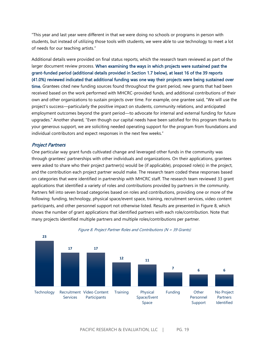"This year and last year were different in that we were doing no schools or programs in person with students, but instead of utilizing those tools with students, we were able to use technology to meet a lot of needs for our teaching artists."

Additional details were provided on final status reports, which the research team reviewed as part of the larger document review process. When examining the ways in which projects were sustained past the grant-funded period (additional details provided in Section 1.7 below), at least 16 of the 39 reports (41.0%) reviewed indicated that additional funding was one way their projects were being sustained over time. Grantees cited new funding sources found throughout the grant period, new grants that had been received based on the work performed with MHCRC-provided funds, and additional contributions of their own and other organizations to sustain projects over time. For example, one grantee said, "We will use the project's success—particularly the positive impact on students, community relations, and anticipated employment outcomes beyond the grant period—to advocate for internal and external funding for future upgrades." Another shared, "Even though our capital needs have been satisfied for this program thanks to your generous support, we are soliciting needed operating support for the program from foundations and individual contributors and expect responses in the next few weeks."

#### Project Partners

One particular way grant funds cultivated change and leveraged other funds in the community was through grantees' partnerships with other individuals and organizations. On their applications, grantees were asked to share who their project partner(s) would be (if applicable), proposed role(s) in the project, and the contribution each project partner would make. The research team coded these responses based on categories that were identified in partnership with MHCRC staff. The research team reviewed 33 grant applications that identified a variety of roles and contributions provided by partners in the community. Partners fell into seven broad categories based on roles and contributions, providing one or more of the following: funding, technology, physical space/event space, training, recruitment services, video content participants, and other personnel support not otherwise listed. Results are presented in Figure 8, which shows the number of grant applications that identified partners with each role/contribution. Note that many projects identified multiple partners and multiple roles/contributions per partner.



#### Figure 8. Project Partner Roles and Contributions (N = 39 Grants)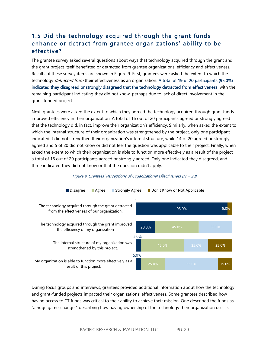# 1.5 Did the technology acquired through the grant funds enhance or detract from grantee organizations' ability to be effective?

The grantee survey asked several questions about ways that technology acquired through the grant and the grant project itself benefitted or detracted from grantee organizations' efficiency and effectiveness. Results of these survey items are shown in Figure 9. First, grantees were asked the extent to which the technology *detracted from* their effectiveness as an organization. A total of 19 of 20 participants (95.0%) indicated they disagreed or strongly disagreed that the technology detracted from effectiveness, with the remaining participant indicating they did not know, perhaps due to lack of direct involvement in the grant-funded project.

Next, grantees were asked the extent to which they agreed the technology acquired through grant funds improved efficiency in their organization. A total of 16 out of 20 participants agreed or strongly agreed that the technology did, in fact, improve their organization's efficiency. Similarly, when asked the extent to which the internal structure of their organization was strengthened by the project, only one participant indicated it did not strengthen their organization's internal structure, while 14 of 20 agreed or strongly agreed and 5 of 20 did not know or did not feel the question was applicable to their project. Finally, when asked the extent to which their organization is able to function more effectively as a result of the project, a total of 16 out of 20 participants agreed or strongly agreed. Only one indicated they disagreed, and three indicated they did not know or that the question didn't apply.



Figure 9. Grantees' Perceptions of Organizational Effectiveness (N = 20)

During focus groups and interviews, grantees provided additional information about how the technology and grant-funded projects impacted their organizations' effectiveness. Some grantees described how having access to CT funds was critical to their ability to achieve their mission. One described the funds as "a huge game-changer" describing how having ownership of the technology their organization uses is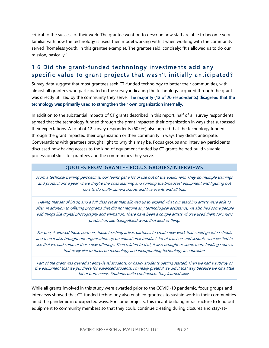critical to the success of their work. The grantee went on to describe how staff are able to become very familiar with how the technology is used, then model working with it when working with the community served (homeless youth, in this grantee example). The grantee said, concisely: "It's allowed us to do our mission, basically."

# 1.6 Did the grant-funded technology investments add any specific value to grant projects that wasn't initially anticipated?

Survey data suggest that most grantees seek CT-funded technology to better their communities, with almost all grantees who participated in the survey indicating the technology acquired through the grant was directly utilized by the community they serve. The majority (13 of 20 respondents) disagreed that the technology was primarily used to strengthen their own organization internally.

In addition to the substantial impacts of CT grants described in this report, half of all survey respondents agreed that the technology funded through the grant impacted their organization in ways that surpassed their expectations. A total of 12 survey respondents (60.0%) also agreed that the technology funded through the grant impacted their organization or their community in ways they didn't anticipate. Conversations with grantees brought light to why this may be. Focus groups and interview participants discussed how having access to the kind of equipment funded by CT grants helped build valuable professional skills for grantees and the communities they serve.

#### QUOTES FROM GRANTEE FOCUS GROUPS/INTERVIEWS

From a technical training perspective, our teams get a lot of use out of the equipment. They do multiple trainings and productions a year where they're the ones learning and running the broadcast equipment and figuring out how to do multi-camera shoots and live events and all that.

Having that set of iPads, and a full class set at that, allowed us to expand what our teaching artists were able to offer. In addition to offering programs that did not require any technological assistance, we also had some people add things like digital photography and animation. There have been a couple artists who've used them for music production like GarageBand work, that kind of thing.

For one, it allowed those partners, those teaching artists partners, to create new work that could go into schools and then it also brought our organization up on educational trends. A lot of teachers and schools were excited to see that we had some of those new offerings. Then related to that, it also brought us some more funding sources that really like to focus on technology and incorporating technology in education.

Part of the grant was geared at entry-level students, or basic- students getting started. Then we had a subsidy of the equipment that we purchase for advanced students. I'm really grateful we did it that way because we hit a little bit of both needs. Students build confidence. They learned skills.

While all grants involved in this study were awarded prior to the COVID-19 pandemic, focus groups and interviews showed that CT-funded technology also enabled grantees to sustain work in their communities amid the pandemic in unexpected ways. For some projects, this meant building infrastructure to lend out equipment to community members so that they could continue creating during closures and stay-at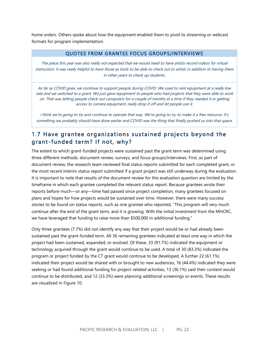home orders. Others spoke about how the equipment enabled them to pivot to streaming or webcast formats for program implementation.

#### QUOTES FROM GRANTEE FOCUS GROUPS/INTERVIEWS

The piece this year was also really not expected that we would need to have artists record videos for virtual instruction. It was really helpful to have those as tools to be able to check out to artists in addition to having them in other years to check up students.

As far as COVID goes, we continue to support people during COVID. We used to rent equipment at a really low rate and we switched to a grant. We just gave equipment to people who had projects that they were able to work on. That was letting people check out computers for a couple of months at a time if they needed it or getting access to camera equipment, really drop it off and let people use it.

I think we're going to try and continue to operate that way. We're going to try to make it a free resource. It's something we probably should have done earlier and COVID was the thing that finally pushed us into that space.

# 1.7 Have grantee organizations sustained projects beyond the grant-funded term? If not, why?

The extent to which grant-funded projects were sustained past the grant term was determined using three different methods: document review, surveys, and focus groups/interviews. First, as part of document review, the research team reviewed final status reports submitted for each completed grant, or the most recent interim status report submitted if a grant project was still underway during the evaluation. It is important to note that results of the document review for this evaluation question are limited by the timeframe in which each grantee completed the relevant status report. Because grantees wrote their reports before much—or any—time had passed since project completion, many grantees focused on plans and hopes for how projects would be sustained over time. However, there were many success stories to be found on status reports, such as one grantee who reported, "This program will very much continue after the end of the grant term, and it is growing. With the initial investment from the MHCRC, we have leveraged that funding to raise more than \$500,000 in additional funding."

Only three grantees (7.7%) did not identify any way that their project would be or had already been sustained past the grant-funded term. All 36 remaining grantees indicated at least one way in which the project had been sustained, expanded, or evolved. Of these, 33 (91.7%) indicated the equipment or technology acquired through the grant would continue to be used. A total of 30 (83.3%) indicated the program or project funded by the CT grant would continue to be developed. A further 22 (61.1%) indicated their project would be shared with or brought to new audiences, 16 (44.4%) indicated they were seeking or had found additional funding for project-related activities, 13 (36.1%) said their content would continue to be distributed, and 12 (33.3%) were planning additional screenings or events. These results are visualized in Figure 10.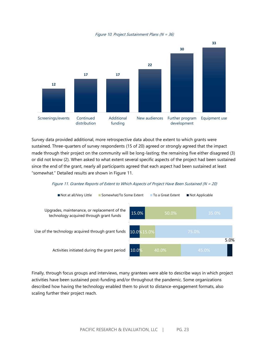Figure 10. Project Sustainment Plans (N = 36)



Survey data provided additional, more retrospective data about the extent to which grants were sustained. Three-quarters of survey respondents (15 of 20) agreed or strongly agreed that the impact made through their project on the community will be long-lasting; the remaining five either disagreed (3) or did not know (2). When asked to what extent several specific aspects of the project had been sustained since the end of the grant, nearly all participants agreed that each aspect had been sustained at least "somewhat." Detailed results are shown in Figure 11.

#### Figure 11. Grantee Reports of Extent to Which Aspects of Project Have Been Sustained (N = 20)



Finally, through focus groups and interviews, many grantees were able to describe ways in which project activities have been sustained post-funding and/or throughout the pandemic. Some organizations described how having the technology enabled them to pivot to distance-engagement formats, also scaling further their project reach.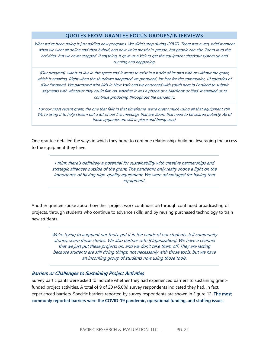#### QUOTES FROM GRANTEE FOCUS GROUPS/INTERVIEWS

What we've been doing is just adding new programs. We didn't stop during COVID. There was a very brief moment when we went all online and then hybrid, and now we're mostly in-person, but people can also Zoom in to the activities, but we never stopped. If anything, it gave us a kick to get the equipment checkout system up and running and happening.

[Our program] wants to live in this space and it wants to exist in a world of its own with or without the grant, which is amazing. Right when the shutdown happened we produced, for free for the community, 10 episodes of [Our Program]. We partnered with kids in New York and we partnered with youth here in Portland to submit segments with whatever they could film on, whether it was a phone or a MacBook or iPad. It enabled us to continue producing throughout the pandemic.

For our most recent grant, the one that falls in that timeframe, we're pretty much using all that equipment still. We're using it to help stream out a lot of our live meetings that are Zoom that need to be shared publicly. All of those upgrades are still in place and being used.

One grantee detailed the ways in which they hope to continue relationship-building, leveraging the access to the equipment they have.

> I think there's definitely a potential for sustainability with creative partnerships and strategic alliances outside of the grant. The pandemic only really shone a light on the importance of having high-quality equipment. We were advantaged for having that equipment.

Another grantee spoke about how their project work continues on through continued broadcasting of projects, through students who continue to advance skills, and by reusing purchased technology to train new students.

> We're trying to augment our tools, put it in the hands of our students, tell community stories, share those stories. We also partner with [Organization]. We have a channel that we just put these projects on, and we don't take them off. They are lasting because students are still doing things, not necessarily with those tools, but we have an incoming group of students now using those tools.

#### Barriers or Challenges to Sustaining Project Activities

Survey participants were asked to indicate whether they had experienced barriers to sustaining grantfunded project activities. A total of 9 of 20 (45.0%) survey respondents indicated they had, in fact, experienced barriers. Specific barriers reported by survey respondents are shown in Figure 12. The most commonly reported barriers were the COVID-19 pandemic, operational funding, and staffing issues.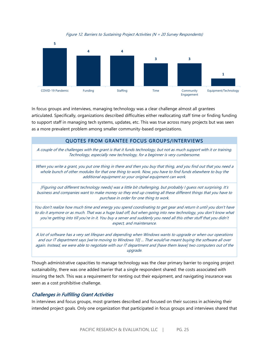

Figure 12. Barriers to Sustaining Project Activities (N = 20 Survey Respondents)

In focus groups and interviews, managing technology was a clear challenge almost all grantees articulated. Specifically, organizations described difficulties either reallocating staff time or finding funding to support staff in managing tech systems, updates, etc. This was true across many projects but was seen as a more prevalent problem among smaller community-based organizations.

#### QUOTES FROM GRANTEE FOCUS GROUPS/INTERVIEWS

A couple of the challenges with the grant is that it funds technology, but not as much support with it or training. Technology, especially new technology, for a beginner is very cumbersome.

When you write a grant, you put one thing in there and then you buy that thing, and you find out that you need a whole bunch of other modules for that one thing to work. Now, you have to find funds elsewhere to buy the additional equipment so your original equipment can work.

[Figuring out different technology needs] was a little bit challenging, but probably I guess not surprising. It's business and companies want to make money so they end up creating all these different things that you have to purchase in order for one thing to work.

You don't realize how much time and energy you spend coordinating to get gear and return it until you don't have to do it anymore or as much. That was a huge load off, but when going into new technology, you don't know what you're getting into till you're in it. You buy a server and suddenly you need all this other stuff that you didn't expect, and maintenance.

A lot of software has a very set lifespan and depending when Windows wants to upgrade or when our operations and our IT department says [we're moving to Windows 10] ... That would've meant buying the software all over again. Instead, we were able to negotiate with our IT department and [have them leave] two computers out of the upgrade.

Though administrative capacities to manage technology was the clear primary barrier to ongoing project sustainability, there was one added barrier that a single respondent shared: the costs associated with insuring the tech. This was a requirement for renting out their equipment, and navigating insurance was seen as a cost prohibitive challenge.

#### Challenges in Fulfilling Grant Activities

In interviews and focus groups, most grantees described and focused on their success in achieving their intended project goals. Only one organization that participated in focus groups and interviews shared that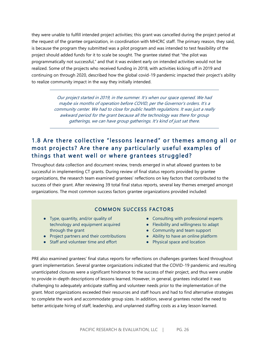they were unable to fulfill intended project activities; this grant was cancelled during the project period at the request of the grantee organization, in coordination with MHCRC staff. The primary reason, they said, is because the program they submitted was a pilot program and was intended to test feasibility of the project should added funds for it to scale be sought. The grantee stated that "the pilot was programmatically not successful," and that it was evident early on intended activities would not be realized. Some of the projects who received funding in 2018, with activities kicking off in 2019 and continuing on through 2020, described how the global covid-19 pandemic impacted their project's ability to realize community impact in the way they initially intended.

> Our project started in 2019, in the summer. It's when our space opened. We had maybe six months of operation before COVID, per the Governor's orders. It's a community center. We had to close for public health regulations. It was just a really awkward period for the grant because all the technology was there for group gatherings, we can have group gatherings. It's kind of just sat there.

# 1.8 Are there collective "lessons learned" or themes among all or most projects? Are there any particularly useful examples of things that went well or where grantees struggled?

Throughout data collection and document review, trends emerged in what allowed grantees to be successful in implementing CT grants. During review of final status reports provided by grantee organizations, the research team examined grantees' reflections on key factors that contributed to the success of their grant. After reviewing 39 total final status reports, several key themes emerged amongst organizations. The most common success factors grantee organizations provided included:

## **COMMON SUCCESS FACTORS**

- Type, quantity, and/or quality of technology and equipment acquired through the grant
- Project partners and their contributions
- Staff and volunteer time and effort
- Consulting with professional experts
- Flexibility and willingness to adapt
	- Community and team support
	- Ability to have an online platform
	- Physical space and location

PRE also examined grantees' final status reports for reflections on challenges grantees faced throughout grant implementation. Several grantee organizations indicated that the COVID-19 pandemic and resulting unanticipated closures were a significant hindrance to the success of their project, and thus were unable to provide in-depth descriptions of lessons learned. However, in general, grantees indicated it was challenging to adequately anticipate staffing and volunteer needs prior to the implementation of the grant. Most organizations exceeded their resources and staff hours and had to find alternative strategies to complete the work and accommodate group sizes. In addition, several grantees noted the need to better anticipate hiring of staff, leadership, and unplanned staffing costs as a key lesson learned.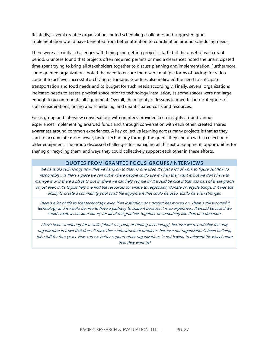Relatedly, several grantee organizations noted scheduling challenges and suggested grant implementation would have benefited from better attention to coordination around scheduling needs.

There were also initial challenges with timing and getting projects started at the onset of each grant period. Grantees found that projects often required permits or media clearances noted the unanticipated time spent trying to bring all stakeholders together to discuss planning and implementation. Furthermore, some grantee organizations noted the need to ensure there were multiple forms of backup for video content to achieve successful archiving of footage. Grantees also indicated the need to anticipate transportation and food needs and to budget for such needs accordingly. Finally, several organizations indicated needs to assess physical space prior to technology installation, as some spaces were not large enough to accommodate all equipment. Overall, the majority of lessons learned fell into categories of staff considerations, timing and scheduling, and unanticipated costs and resources.

Focus group and interview conversations with grantees provided keen insights around various experiences implementing awarded funds and, through conversation with each other, created shared awareness around common experiences. A key collective learning across many projects is that as they start to accumulate more newer, better technology through the grants they end up with a collection of older equipment. The group discussed challenges for managing all this extra equipment, opportunities for sharing or recycling them, and ways they could collectively support each other in these efforts.

#### QUOTES FROM GRANTEE FOCUS GROUPS/INTERVIEWS

We have old technology now that we hang on to that no one uses. It's just a lot of work to figure out how to responsibly… is there a place we can put it where people could use it when they want it, but we don't have to manage it or is there a place to put it where we can help recycle it? It would be nice if that was part of these grants or just even if it's to just help me find the resources for where to responsibly donate or recycle things. If it was the ability to create a community pool of all the equipment that could be used, that'd be even stronger.

There's a lot of life to that technology, even if an institution or a project has moved on. There's still wonderful technology and it would be nice to have a pathway to share it because it is so expensive... It would be nice if we could create a checkout library for all of the grantees together or something like that, or a donation.

I have been wondering for a while [about recycling or renting technology], because we're probably the only organization in town that doesn't have these infrastructural problems because our organization's been building this stuff for four years. How can we better support other organizations in not having to reinvent the wheel more than they want to?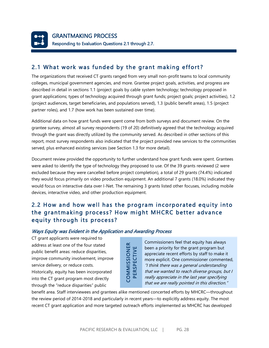<span id="page-27-0"></span>

# 2.1 What work was funded by the grant making effort ?

The organizations that received CT grants ranged from very small non-profit teams to local community colleges, municipal government agencies, and more. Grantee project goals, activities, and progress are described in detail in sections 1.1 (project goals by cable system technology; technology proposed in grant applications; types of technology acquired through grant funds; project goals; project activities), 1.2 (project audiences, target beneficiaries, and populations served), 1.3 (public benefit areas), 1.5 (project partner roles), and 1.7 (how work has been sustained over time).

Additional data on how grant funds were spent come from both surveys and document review. On the grantee survey, almost all survey respondents (19 of 20) definitively agreed that the technology acquired through the grant was directly utilized by the community served. As described in other sections of this report, most survey respondents also indicated that the project provided new services to the communities served, plus enhanced existing services (see Section 1.3 for more detail).

Document review provided the opportunity to further understand how grant funds were spent. Grantees were asked to identify the type of technology they proposed to use. Of the 39 grants reviewed (2 were excluded because they were cancelled before project completion), a total of 29 grants (74.4%) indicated they would focus primarily on video production equipment. An additional 7 grants (18.0%) indicated they would focus on interactive data over I-Net. The remaining 3 grants listed other focuses, including mobile devices, interactive video, and other production equipment.

# 2.2 How and how well has the program incorporated equity into the grantmaking process? How might MHCRC better advance equity through its process?

#### Ways Equity was Evident in the Application and Awarding Process

CT grant applicants were required to address at least one of the four stated public benefit areas: reduce disparities, improve community involvement, improve service delivery, or reduce costs. Historically, equity has been incorporated into the CT grant program most directly through the "reduce disparities" public

and the sact one of the four stated<br>
public benefit areas: reduce disparities,<br>
improve community involvement, improve<br>
service delivery, or reduce costs.<br>
Historically, equity has been incorporated<br>
Historically, equity h Commissioners feel that equity has always been a priority for the grant program but appreciate recent efforts by staff to make it more explicit. One commissioner commented, "I think there was a general understanding that we wanted to reach diverse groups, but I really appreciate in the last year specifying that we are really pointed in this direction."

benefit area. Staff interviewees and grantees alike mentioned concerted efforts by MHCRC—throughout the review period of 2014-2018 and particularly in recent years—to explicitly address equity. The most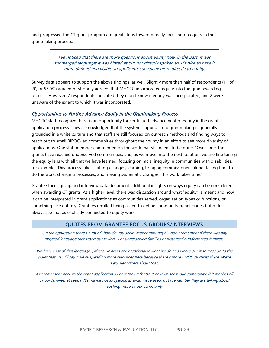and progressed the CT grant program are great steps toward directly focusing on equity in the grantmaking process.

> I've noticed that there are more questions about equity now. In the past, it was submerged language; it was hinted at but not directly spoken to. It's nice to have it more defined and visible so applicants can speak more directly to equity.

Survey data appears to support the above findings, as well. Slightly more than half of respondents (11 of 20, or 55.0%) agreed or strongly agreed, that MHCRC incorporated equity into the grant awarding process. However, 7 respondents indicated they didn't know if equity was incorporated, and 2 were unaware of the extent to which it was incorporated.

#### Opportunities to Further Advance Equity in the Grantmaking Process

MHCRC staff recognize there is an opportunity for continued advancement of equity in the grant application process. They acknowledged that the systemic approach to grantmaking is generally grounded in a white culture and that staff are still focused on outreach methods and finding ways to reach out to small BIPOC-led communities throughout the county in an effort to see more diversity of applications. One staff member commented on the work that still needs to be done, "Over time, the grants have reached underserved communities, and, as we move into the next iteration, we are fine tuning the equity lens with all that we have learned, focusing on racial inequity in communities with disabilities, for example...This process takes staffing changes, learning, bringing commissioners along, taking time to do the work, changing processes, and making systematic changes. This work takes time."

Grantee focus group and interview data document additional insights on ways equity can be considered when awarding CT grants. At a higher level, there was discussion around what "equity" is meant and how it can be interpreted in grant applications as communities served, organization types or functions, or something else entirely. Grantees recalled being asked to define community beneficiaries but didn't always see that as explicitly connected to equity work.

#### QUOTES FROM GRANTEE FOCUS GROUPS/INTERVIEWS

On the application there's a lot of "how do you serve your community?" I don't remember if there was any targeted language that stood out saying, "For underserved families or historically underserved families."

We have a lot of that language, [where we are] very intentional in what we do and where our resources go to the point that we will say, "We're spending more resources here because there's more BIPOC students there. We're very. very direct about that.

As I remember back to the grant application, I know they talk about how we serve our community, if it reaches all of our families, et cetera. It's maybe not as specific as what we're used, but I remember they are talking about reaching more of our community.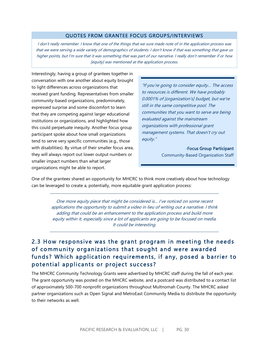#### QUOTES FROM GRANTEE FOCUS GROUPS/INTERVIEWS

I don't really remember. I know that one of the things that we sure made note of in the application process was that we were serving a wide variety of demographics of students. I don't know if that was something that gave us higher points, but I'm sure that it was something that was part of our narrative. I really don't remember if or how [equity] was mentioned at the application process.

Interestingly, having a group of grantees together in conversation with one another about equity brought to light differences across organizations that received grant funding. Representatives from smaller community-based organizations, predominately, expressed surprise and some discomfort to learn that they are competing against larger educational institutions or organizations, and highlighted how this could perpetuate inequity. Another focus group participant spoke about how small organizations tend to serve very specific communities (e.g., those with disabilities). By virtue of their smaller focus area, they will always report out lower output numbers or smaller impact numbers than what larger organizations might be able to report.

"If you're going to consider equity… The access to resources is different. We have probably 0.0001% of [organization's] budget, but we're still in the same competitive pool. The communities that you want to serve are being evaluated against the mainstream organizations with professional grant management systems. That doesn't cry out equity."

> -Focus Group Participant Community-Based Organization Staff

One of the grantees shared an opportunity for MHCRC to think more creatively about how technology can be leveraged to create a, potentially, more equitable grant application process:

> One more equity piece that might be considered is… I've noticed on some recent applications the opportunity to submit a video in lieu of writing out a narrative. I think adding that could be an enhancement to the application process and build more equity within it, especially since a lot of applicants are going to be focused on media. It could be interesting.

# 2.3 How responsive was the grant program in meeting the needs of community organizations that sought and were awarded funds? Which application requirements, if any, posed a barrier to potential applicants or project success?

The MHCRC Community Technology Grants were advertised by MHCRC staff during the fall of each year. The grant opportunity was posted on the MHCRC website, and a postcard was distributed to a contact list of approximately 500-700 nonprofit organizations throughout Multnomah County. The MHCRC asked partner organizations such as Open Signal and MetroEast Community Media to distribute the opportunity to their networks as well.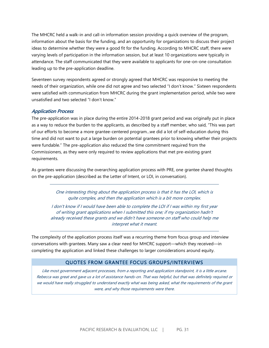The MHCRC held a walk-in and call-in information session providing a quick overview of the program, information about the basis for the funding, and an opportunity for organizations to discuss their project ideas to determine whether they were a good fit for the funding. According to MHCRC staff, there were varying levels of participation in the information session, but at least 10 organizations were typically in attendance. The staff communicated that they were available to applicants for one-on-one consultation leading up to the pre-application deadline.

Seventeen survey respondents agreed or strongly agreed that MHCRC was responsive to meeting the needs of their organization, while one did not agree and two selected "I don't know." Sixteen respondents were satisfied with communication from MHCRC during the grant implementation period, while two were unsatisfied and two selected "I don't know."

#### Application Process

The pre-application was in place during the entire 2014-2018 grant period and was originally put in place as a way to reduce the burden to the applicants, as described by a staff member, who said, "This was part of our efforts to become a more grantee-centered program...we did a lot of self-education during this time and did not want to put a large burden on potential grantees prior to knowing whether their projects were fundable." The pre-application also reduced the time commitment required from the Commissioners, as they were only required to review applications that met pre-existing grant requirements.

As grantees were discussing the overarching application process with PRE, one grantee shared thoughts on the pre-application (described as the Letter of Intent, or LOI, in conversation).

> One interesting thing about the application process is that it has the LOI, which is quite complex, and then the application which is a bit more complex.

I don't know if I would have been able to complete the LOI if I was within my first year of writing grant applications when I submitted this one; if my organization hadn't already received these grants and we didn't have someone on staff who could help me interpret what it meant.

The complexity of the application process itself was a recurring theme from focus group and interview conversations with grantees. Many saw a clear need for MHCRC support—which they received—in completing the application and linked these challenges to larger considerations around equity.

#### QUOTES FROM GRANTEE FOCUS GROUPS/INTERVIEWS

Like most government adjacent processes, from a reporting and application standpoint, it is a little arcane. Rebecca was great and gave us a lot of assistance hands-on. That was helpful, but that was definitely required or we would have really struggled to understand exactly what was being asked, what the requirements of the grant were, and why those requirements were there.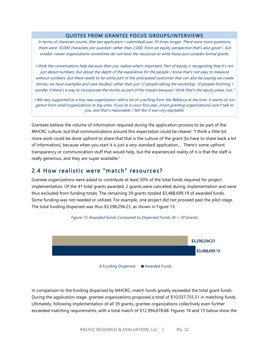#### QUOTES FROM GRANTEE FOCUS GROUPS/INTERVIEWS

In terms of character counts, [the last application I submitted] was 10 times longer. There were more questions, there were 10,000 characters per question rather than 2,000. From an equity perspective that's also good – but smaller, newer organizations sometimes do not have the resources to write those just complex formal grants.

I think the conversations help because then you realize what's important. Part of equity is recognizing that it's not just about numbers, but about the depth of the experience for the people. I know that's not easy to measure without numbers, but there needs to be some part of the anticipated outcomes that can also be [saying we create stories, we have examples and case studies] rather than just 12 people taking the workshop, 10 people finishing. I wonder if there's a way to incorporate the stories as part of the impact because I think that's the equity piece, too."

I felt very supported as a tiny new organization with a lot of coaching from the Rebecca at the time. It seems to run gamut from small organizations to big ones. If you're in your first year, [most granting organizations] won't talk to you, and that's reasonable. I felt like it was very equitable.

Grantees believe the volume of information required during the application process to be part of the MHCRC culture, but that communications around this expectation could be clearer: "I think a little bit more work could be done upfront to share that that is the culture of the grant [to have to share back a lot of information], because when you start it is just a very standard application… There's some upfront transparency or communication stuff that would help, but the experienced reality of it is that the staff is really generous, and they are super available."

### 2.4 How realistic were "match" resources?

Grantee organizations were asked to contribute at least 50% of the total funds required for project implementation. Of the 41 total grants awarded, 2 grants were cancelled during implementation and were thus excluded from funding totals. The remaining 39 grants totaled \$3,488,699.19 of awarded funds. Some funding was not needed or utilized. For example, one project did not proceed past the pilot stage. The total funding dispersed was thus \$3,298,294.23, as shown in Figure 13.





In comparison to the funding dispersed by MHCRC, match funds greatly exceeded the total grant funds. During the application stage, grantee organizations proposed a total of \$10,037,755.51 in matching funds. Ultimately, following implementation of all 39 grants, grantee organizations collectively even further exceeded matching requirements, with a total match of \$12,994,878.68. Figures 14 and 15 below show the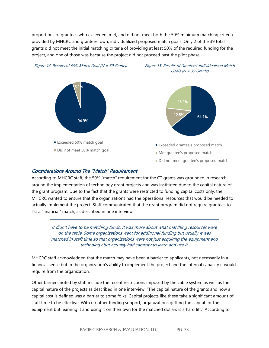proportions of grantees who exceeded, met, and did not meet both the 50% minimum matching criteria provided by MHCRC and grantees' own, individualized proposed match goals. Only 2 of the 39 total grants did not meet the initial matching criteria of providing at least 50% of the required funding for the project, and one of those was because the project did not proceed past the pilot phase.



#### Considerations Around The "Match" Requirement

According to MHCRC staff, the 50% "match" requirement for the CT grants was grounded in research around the implementation of technology grant projects and was instituted due to the capital nature of the grant program. Due to the fact that the grants were restricted to funding capital costs only, the MHCRC wanted to ensure that the organizations had the operational resources that would be needed to actually implement the project. Staff communicated that the grant program did not require grantees to list a "financial" match, as described in one interview:

It didn't have to be matching funds. It was more about what matching resources were on the table. Some organizations went for additional funding but usually it was matched in staff time so that organizations were not just acquiring the equipment and technology but actually had capacity to learn and use it.

MHCRC staff acknowledged that the match may have been a barrier to applicants, not necessarily in a financial sense but in the organization's ability to implement the project and the internal capacity it would require from the organization.

Other barriers noted by staff include the recent restrictions imposed by the cable system as well as the capital nature of the projects as described in one interview. "The capital nature of the grants and how a capital cost is defined was a barrier to some folks. Capital projects like these take a significant amount of staff time to be effective. With no other funding support, organizations getting the capital for the equipment but learning it and using it on their own for the matched dollars is a hard lift." According to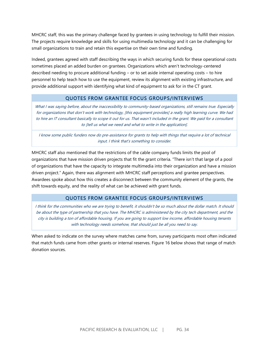MHCRC staff, this was the primary challenge faced by grantees in using technology to fulfill their mission. The projects require knowledge and skills for using multimedia technology and it can be challenging for small organizations to train and retain this expertise on their own time and funding.

Indeed, grantees agreed with staff describing the ways in which securing funds for these operational costs sometimes placed an added burden on grantees. Organizations which aren't technology-centered described needing to procure additional funding – or to set aside internal operating costs – to hire personnel to help teach how to use the equipment, review its alignment with existing infrastructure, and provide additional support with identifying what kind of equipment to ask for in the CT grant.

#### QUOTES FROM GRANTEE FOCUS GROUPS/INTERVIEWS

What I was saying before, about the inaccessibility to community-based organizations, still remains true. Especially for organizations that don't work with technology, [this equipment provides] a really high learning curve. We had to hire an IT consultant basically to scope it out for us. That wasn't included in the grant. We paid for a consultant to [tell us what we need and what to write in the application].

I know some public funders now do pre-assistance for grants to help with things that require a lot of technical input. I think that's something to consider.

MHCRC staff also mentioned that the restrictions of the cable company funds limits the pool of organizations that have mission driven projects that fit the grant criteria. "There isn't that large of a pool of organizations that have the capacity to integrate multimedia into their organization and have a mission driven project." Again, there was alignment with MHCRC staff perceptions and grantee perspectives. Awardees spoke about how this creates a disconnect between the community element of the grants, the shift towards equity, and the reality of what can be achieved with grant funds.

#### QUOTES FROM GRANTEE FOCUS GROUPS/INTERVIEWS

I think for the communities who we are trying to benefit, it shouldn't be so much about the dollar match. It should be about the type of partnership that you have. The MHCRC is administered by the city tech department, and the city is building a ton of affordable housing. If you are going to support low income, affordable housing tenants with technology needs somehow, that should just be all you need to say.

When asked to indicate on the survey where matches came from, survey participants most often indicated that match funds came from other grants or internal reserves. Figure 16 below shows that range of match donation sources.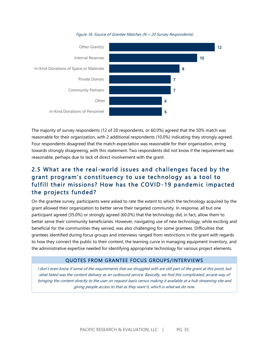



The majority of survey respondents (12 of 20 respondents, or 60.0%) agreed that the 50% match was reasonable for their organization, with 2 additional respondents (10.0%) indicating they strongly agreed. Four respondents disagreed that the match expectation was reasonable for their organization, erring towards strongly disagreeing, with this statement. Two respondents did not know if the requirement was reasonable, perhaps due to lack of direct involvement with the grant.

# 2.5 What are the real -world issues and challenges faced by the grant program's constituency to use technology as a tool to fulfill their missions? How has the COVID -19 pandemic impacted the projects funded?

On the grantee survey, participants were asked to rate the extent to which the technology acquired by the grant allowed their organization to better serve their targeted community. In response, all but one participant agreed (35.0%) or strongly agreed (60.0%) that the technology did, in fact, allow them to better serve their community beneficiaries. However, navigating use of new technology, while exciting and beneficial for the communities they served, was also challenging for some grantees. Difficulties that grantees identified during focus groups and interviews ranged from restrictions in the grant with regards to how they connect the public to their content, the learning curve in managing equipment inventory, and the administrative expertise needed for identifying appropriate technology for various project elements.

#### QUOTES FROM GRANTEE FOCUS GROUPS/INTERVIEWS

I don't even know if some of the requirements that we struggled with are still part of the grant at this point, but what failed was the content delivery as an outbound service. Basically, we find this complicated, arcane way of bringing the content directly to the user on request basis versus making it available at a hub streaming site and giving people access to that as they want it, which is what we do now.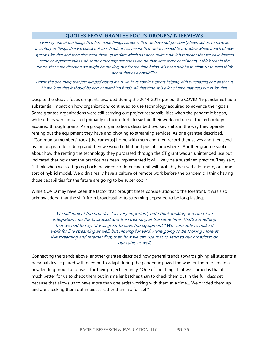#### QUOTES FROM GRANTEE FOCUS GROUPS/INTERVIEWS

I will say one of the things that has made things harder is that we have not previously been set up to have an inventory of things that we check out to schools. It has meant that we've needed to provide a whole bunch of new systems for that and then also keep them up to date which has been quite a bit. It has meant that we have formed some new partnerships with some other organizations who do that work more consistently. I think that in the future, that's the direction we might be moving, but for the time being, it's been helpful to allow us to even think about that as a possibility.

I think the one thing that just jumped out to me is we have admin support helping with purchasing and all that. It hit me later that it should be part of matching funds. All that time. It is a lot of time that gets put in for that.

Despite the study's focus on grants awarded during the 2014-2018 period, the COVID-19 pandemic had a substantial impact on how organizations continued to use technology acquired to advance their goals. Some grantee organizations were still carrying out project responsibilities when the pandemic began, while others were impacted primarily in their efforts to sustain their work and use of the technology acquired through grants. As a group, organizations described two key shifts in the way they operate: renting out the equipment they have and pivoting to streaming services. As one grantee described, "[Community members] took [the cameras] home with them and then record themselves and then send us the program for editing and then we would edit it and post it somewhere." Another grantee spoke about how the renting the technology they purchased through the CT grant was an unintended use but indicated that now that the practice has been implemented it will likely be a sustained practice. They said, "I think when we start going back the video conferencing unit will probably be used a lot more, or some sort of hybrid model. We didn't really have a culture of remote work before the pandemic. I think having those capabilities for the future are going to be super cool."

While COVID may have been the factor that brought these considerations to the forefront, it was also acknowledged that the shift from broadcasting to streaming appeared to be long lasting.

We still look at the broadcast as very important, but I think looking at more of an integration into the broadcast and the streaming at the same time. That's something that we had to say, "It was great to have the equipment." We were able to make it work for live streaming as well, but moving forward, we're going to be looking more at live streaming and internet first, then how we can use that to send to our broadcast on our cable as well.

Connecting the trends above, another grantee described how general trends towards giving all students a personal device paired with needing to adapt during the pandemic paved the way for them to create a new lending model and use it for their projects entirely: "One of the things that we learned is that it's much better for us to check them out in smaller batches than to check them out in the full class set because that allows us to have more than one artist working with them at a time… We divided them up and are checking them out in pieces rather than in a full set."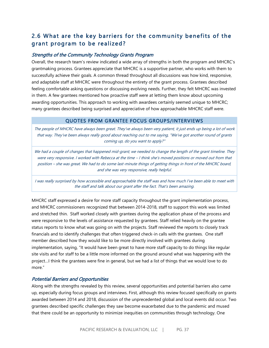# 2.6 What are the key barriers for the community benefits of the grant program to be realized?

#### Strengths of the Community Technology Grants Program

Overall, the research team's review indicated a wide array of strengths in both the program and MHCRC's grantmaking process. Grantees appreciate that MHCRC is a supportive partner, who works with them to successfully achieve their goals. A common thread throughout all discussions was how kind, responsive, and adaptable staff at MHCRC were throughout the entirety of the grant process. Grantees described feeling comfortable asking questions or discussing evolving needs. Further, they felt MHCRC was invested in them. A few grantees mentioned how proactive staff were at letting them know about upcoming awarding opportunities. This approach to working with awardees certainly seemed unique to MHCRC; many grantees described being surprised and appreciative of how approachable MHCRC staff were.

#### QUOTES FROM GRANTEE FOCUS GROUPS/INTERVIEWS

The people of MHCRC have always been great. They've always been very patient, it just ends up being a lot of work that way. They've been always really good about reaching out to me saying, "We've got another round of grants coming up, do you want to apply?"

We had a couple of changes that happened mid-grant; we needed to change the length of the grant timeline. They were very responsive. I worked with Rebecca at the time – I think she's moved positions or moved out from that position – she was great. We had to do some last-minute things of getting things in front of the MHCRC board, and she was very responsive, really helpful.

I was really surprised by how accessible and approachable the staff was and how much I've been able to meet with the staff and talk about our grant after the fact. That's been amazing.

MHCRC staff expressed a desire for more staff capacity throughout the grant implementation process, and MHCRC commissioners recognized that between 2014-2018, staff to support this work was limited and stretched thin. Staff worked closely with grantees during the application phase of the process and were responsive to the levels of assistance requested by grantees. Staff relied heavily on the grantee status reports to know what was going on with the projects. Staff reviewed the reports to closely track financials and to identify challenges that often triggered check-in calls with the grantees. One staff member described how they would like to be more directly involved with grantees during implementation, saying, "It would have been great to have more staff capacity to do things like regular site visits and for staff to be a little more informed on the ground around what was happening with the project…I think the grantees were fine in general, but we had a list of things that we would love to do more."

#### Potential Barriers and Opportunities

Along with the strengths revealed by this review, several opportunities and potential barriers also came up, especially during focus groups and interviews. First, although this review focused specifically on grants awarded between 2014 and 2018, discussion of the unprecedented global and local events did occur. Two grantees described specific challenges they saw become exacerbated due to the pandemic and mused that there could be an opportunity to minimize inequities on communities through technology. One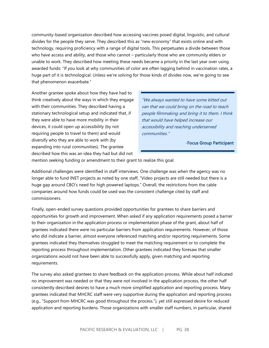community-based organization described how accessing vaccines posed digital, linguistic, and cultural divides for the people they serve. They described this as "new economy" that exists online and with technology, requiring proficiency with a range of digital tools. This perpetuates a divide between those who have access and ability, and those who cannot – particularly those who are community elders or unable to work. They described how meeting these needs became a priority in the last year over using awarded funds: "If you look at why communities of color are often lagging behind in vaccination rates, a huge part of it is technological. Unless we're solving for those kinds of divides now, we're going to see that phenomenon exacerbate."

Another grantee spoke about how they have had to think creatively about the ways in which they engage with their communities. They described having a stationary technological setup and indicated that, if they were able to have more mobility in their devices, it could open up accessibility (by not requiring people to travel to them) and would diversify who they are able to work with (by expanding into rural communities). The grantee described how this was an idea they had but did not

"We always wanted to have some kitted out van that we could bring on the road to teach people filmmaking and bring it to them. I think that would have helped increase our accessibility and reaching underserved communities."

-Focus Group Participant

mention seeking funding or amendment to their grant to realize this goal.

Additional challenges were identified in staff interviews. One challenge was when the agency was no longer able to fund INET projects as noted by one staff, "Video projects are still needed but there is a huge gap around CBO's need for high powered laptops." Overall, the restrictions from the cable companies around how funds could be used was the consistent challenge cited by staff and commissioners.

Finally, open-ended survey questions provided opportunities for grantees to share barriers and opportunities for growth and improvement. When asked if any application requirements posed a barrier to their organization in the application process or implementation phase of the grant, about half of grantees indicated there were no particular barriers from application requirements. However, of those who did indicate a barrier, almost everyone referenced matching and/or reporting requirements. Some grantees indicated they themselves struggled to meet the matching requirement or to complete the reporting process throughout implementation. Other grantees indicated they foresaw that smaller organizations would not have been able to successfully apply, given matching and reporting requirements.

The survey also asked grantees to share feedback on the application process. While about half indicated no improvement was needed or that they were not involved in the application process, the other half consistently described desires to have a much more simplified application and reporting process. Many grantees indicated that MHCRC staff were very supportive during the application and reporting process (e.g., "Support from MHCRC was good throughout the process."), yet still expressed desire for reduced application and reporting burdens. Those organizations with smaller staff numbers, in particular, shared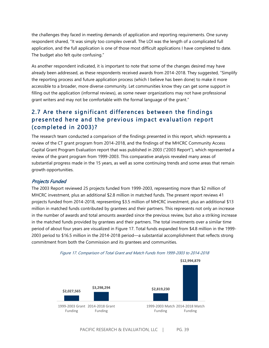the challenges they faced in meeting demands of application and reporting requirements. One survey respondent shared, "It was simply too complex overall. The LOI was the length of a complicated full application, and the full application is one of those most difficult applications I have completed to date. The budget also felt quite confusing."

As another respondent indicated, it is important to note that some of the changes desired may have already been addressed, as these respondents received awards from 2014-2018. They suggested, "Simplify the reporting process and future application process (which I believe has been done) to make it more accessible to a broader, more diverse community. Let communities know they can get some support in filling out the application (informal reviews), as some newer organizations may not have professional grant writers and may not be comfortable with the formal language of the grant."

# 2.7 Are there significant differences between the findings presented here and the previous impact evaluation report (completed in 2003)?

The research team conducted a comparison of the findings presented in this report, which represents a review of the CT grant program from 2014-2018, and the findings of the MHCRC Community Access Capital Grant Program Evaluation report that was published in 2003 ("2003 Report"), which represented a review of the grant program from 1999-2003. This comparative analysis revealed many areas of substantial progress made in the 15 years, as well as some continuing trends and some areas that remain growth opportunities.

#### Projects Funded

The 2003 Report reviewed 25 projects funded from 1999-2003, representing more than \$2 million of MHCRC investment, plus an additional \$2.8 million in matched funds. The present report reviews 41 projects funded from 2014-2018, representing \$3.5 million of MHCRC investment, plus an additional \$13 million in matched funds contributed by grantees and their partners. This represents not only an increase in the number of awards and total amounts awarded since the previous review, but also a striking increase in the matched funds provided by grantees and their partners. The total investments over a similar time period of about four years are visualized in Figure 17. Total funds expanded from \$4.8 million in the 1999- 2003 period to \$16.5 million in the 2014-2018 period—a substantial accomplishment that reflects strong commitment from both the Commission and its grantees and communities.



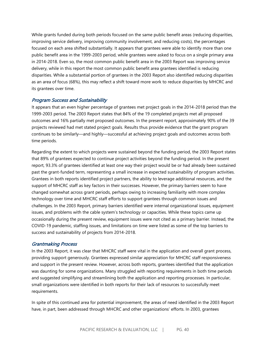While grants funded during both periods focused on the same public benefit areas (reducing disparities, improving service delivery, improving community involvement, and reducing costs), the percentages focused on each area shifted substantially. It appears that grantees were able to identify more than one public benefit area in the 1999-2003 period, while grantees were asked to focus on a single primary area in 2014-2018. Even so, the most common public benefit area in the 2003 Report was improving service delivery, while in this report the most common public benefit area grantees identified is reducing disparities. While a substantial portion of grantees in the 2003 Report also identified reducing disparities as an area of focus (68%), this may reflect a shift toward more work to reduce disparities by MHCRC and its grantees over time.

#### Program Success and Sustainability

It appears that an even higher percentage of grantees met project goals in the 2014-2018 period than the 1999-2003 period. The 2003 Report states that 84% of the 19 completed projects met all proposed outcomes and 16% partially met proposed outcomes. In the present report, approximately 90% of the 39 projects reviewed had met stated project goals. Results thus provide evidence that the grant program continues to be similarly—and highly—successful at achieving project goals and outcomes across both time periods.

Regarding the extent to which projects were sustained beyond the funding period, the 2003 Report states that 89% of grantees expected to continue project activities beyond the funding period. In the present report, 93.3% of grantees identified at least one way their project would be or had already been sustained past the grant-funded term, representing a small increase in expected sustainability of program activities. Grantees in both reports identified project partners, the ability to leverage additional resources, and the support of MHCRC staff as key factors in their successes. However, the primary barriers seem to have changed somewhat across grant periods, perhaps owing to increasing familiarity with more complex technology over time and MHCRC staff efforts to support grantees through common issues and challenges. In the 2003 Report, primary barriers identified were internal organizational issues, equipment issues, and problems with the cable system's technology or capacities. While these topics came up occasionally during the present review, equipment issues were not cited as a primary barrier. Instead, the COVID-19 pandemic, staffing issues, and limitations on time were listed as some of the top barriers to success and sustainability of projects from 2014-2018.

#### Grantmaking Process

In the 2003 Report, it was clear that MHCRC staff were vital in the application and overall grant process, providing support generously. Grantees expressed similar appreciation for MHCRC staff responsiveness and support in the present review. However, across both reports, grantees identified that the application was daunting for some organizations. Many struggled with reporting requirements in both time periods and suggested simplifying and streamlining both the application and reporting processes. In particular, small organizations were identified in both reports for their lack of resources to successfully meet requirements.

In spite of this continued area for potential improvement, the areas of need identified in the 2003 Report have, in part, been addressed through MHCRC and other organizations' efforts. In 2003, grantees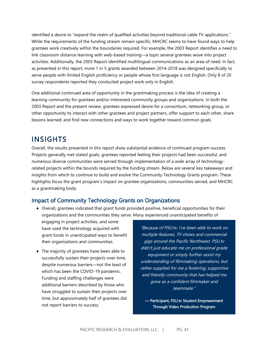identified a desire to "expand the realm of qualified activities beyond traditional cable TV applications." While the requirements of the funding stream remain specific, MHCRC seems to have found ways to help grantees work creatively within the boundaries required. For example, the 2003 Report identifies a need to link classroom distance learning with web-based training—a topic several grantees wove into project activities. Additionally, the 2003 Report identified multilingual communications as an area of need. In fact, as presented in this report, more 1 in 5 grants awarded between 2014-2018 was designed specifically to serve people with limited English proficiency or people whose first language is not English. Only 8 of 20 survey respondents reported they conducted project work only in English.

One additional continued area of opportunity in the grantmaking process is the idea of creating a learning community for grantees and/or interested community groups and organizations. In both the 2003 Report and the present review, grantees expressed desire for a consortium, networking group, or other opportunity to interact with other grantees and project partners, offer support to each other, share lessons learned, and find new connections and ways to work together toward common goals.

# <span id="page-40-0"></span>**INSIGHTS**

Overall, the results presented in this report show substantial evidence of continued program success. Projects generally met stated goals, grantees reported feeling their projects had been successful, and numerous diverse communities were served through implementation of a wide array of technologyrelated projects within the bounds required by the funding stream. Below are several key takeaways and insights from which to continue to build and evolve the Community Technology Grants program. These highlights focus the grant program's impact on grantee organizations, communities served, and MHCRC as a grantmaking body.

## Impact of Community Technology Grants on Organizations

 Overall, grantees indicated that grant funds provided positive, beneficial opportunities for their organizations and the communities they serve. Many experienced unanticipated benefits of

engaging in project activities, and some have used the technology acquired with grant funds in unanticipated ways to benefit their organizations and communities.

◆ The majority of grantees have been able to successfully sustain their projects over time, despite numerous barriers—not the least of which has been the COVID-19 pandemic. Funding and staffing challenges were additional barriers described by those who have struggled to sustain their projects over time, but approximately half of grantees did not report barriers to success.

"Because of PSU.tv, I've been able to work on multiple features, TV shows and commercial gigs around the Pacific Northwest. PSU.tv didn't just educate me on professional grade equipment or simply further assist my understanding of filmmaking operations, but rather supplied for me a fostering, supportive and friendly community that has helped me grow as a confident filmmaker and teammate."

— Participant, PSU.tv Student Empowerment Through Video Production Program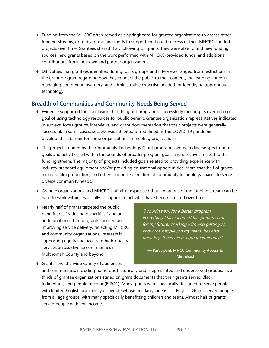- Funding from the MHCRC often served as a springboard for grantee organizations to access other funding streams, or to divert existing funds to support continued success of their MHCRC-funded projects over time. Grantees shared that, following CT grants, they were able to find new funding sources, new grants based on the work performed with MHCRC-provided funds, and additional contributions from their own and partner organizations.
- Difficulties that grantees identified during focus groups and interviews ranged from restrictions in the grant program regarding how they connect the public to their content, the learning curve in managing equipment inventory, and administrative expertise needed for identifying appropriate technology.

### Breadth of Communities and Community Needs Being Served

- $\bullet$  Evidence supported the conclusion that the grant program is successfully meeting its overarching goal of using technology resources for public benefit. Grantee organization representatives indicated in surveys, focus groups, interviews, and grant documentation that their projects were generally successful. In some cases, success was inhibited or redefined as the COVID-19 pandemic developed—a barrier for some organizations in meeting project goals.
- The projects funded by the Community Technology Grant program covered a diverse spectrum of goals and activities, all within the bounds of broader program goals and directives related to the funding stream. The majority of projects included goals related to providing experience with industry-standard equipment and/or providing educational opportunities. More than half of grants included film production, and others supported creation of community technology spaces to serve diverse community needs.
- Grantee organizations and MHCRC staff alike expressed that limitations of the funding stream can be hard to work within, especially as supported activities have been restricted over time.
- Nearly half of grants targeted the public benefit area "reducing disparities," and an additional one-third of grants focused on improving service delivery, reflecting MHCRC and community organizations' interests in supporting equity and access to high-quality services across diverse communities in Multnomah County and beyond.

"I couldn't ask for a better program. Everything I have learned has prepared me for my future. Working with and getting to know the people (on my team) has also been key. It has been a great experience."

— Participant, MHCC Community Access to **MetroEast** 

 Grants served a wide variety of audiences and communities, including numerous historically underrepresented and underserved groups. Twothirds of grantee organizations stated on grant documents that their grants served Black, Indigenous, and people of color (BIPOC). Many grants were specifically designed to serve people with limited English proficiency or people whose first language is not English. Grants served people from all age groups, with many specifically benefitting children and teens. Almost half of grants served people with low incomes.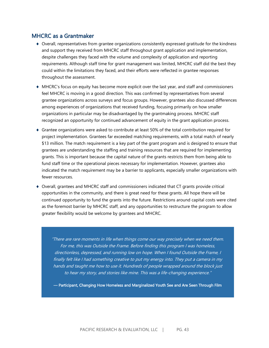### MHCRC as a Grantmaker

- Overall, representatives from grantee organizations consistently expressed gratitude for the kindness and support they received from MHCRC staff throughout grant application and implementation, despite challenges they faced with the volume and complexity of application and reporting requirements. Although staff time for grant management was limited, MHCRC staff did the best they could within the limitations they faced, and their efforts were reflected in grantee responses throughout the assessment.
- MHCRC's focus on equity has become more explicit over the last year, and staff and commissioners feel MHCRC is moving in a good direction. This was confirmed by representatives from several grantee organizations across surveys and focus groups. However, grantees also discussed differences among experiences of organizations that received funding, focusing primarily on how smaller organizations in particular may be disadvantaged by the grantmaking process. MHCRC staff recognized an opportunity for continued advancement of equity in the grant application process.
- Grantee organizations were asked to contribute at least 50% of the total contribution required for project implementation. Grantees far exceeded matching requirements, with a total match of nearly \$13 million. The match requirement is a key part of the grant program and is designed to ensure that grantees are understanding the staffing and training resources that are required for implementing grants. This is important because the capital nature of the grants restricts them from being able to fund staff time or the operational pieces necessary for implementation. However, grantees also indicated the match requirement may be a barrier to applicants, especially smaller organizations with fewer resources.
- Overall, grantees and MHCRC staff and commissioners indicated that CT grants provide critical opportunities in the community, and there is great need for these grants. All hope there will be continued opportunity to fund the grants into the future. Restrictions around capital costs were cited as the foremost barrier by MHCRC staff, and any opportunities to restructure the program to allow greater flexibility would be welcome by grantees and MHCRC.

"There are rare moments in life when things come our way precisely when we need them. For me, this was Outside the Frame. Before finding this program I was homeless, directionless, depressed, and running low on hope. When I found Outside the Frame, I finally felt like I had something creative to put my energy into. They put a camera in my hands and taught me how to use it. Hundreds of people wrapped around the block just to hear my story, and stories like mine. This was a life-changing experience."

— Participant, Changing How Homeless and Marginalized Youth See and Are Seen Through Film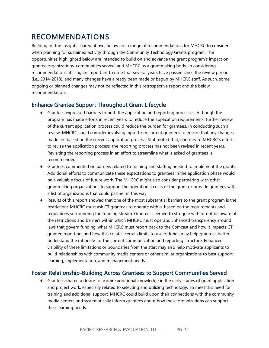# <span id="page-43-0"></span>RECOMMENDATIONS

Building on the insights shared above, below are a range of recommendations for MHCRC to consider when planning for sustained activity through the Community Technology Grants program. The opportunities highlighted below are intended to build on and advance the grant program's impact on grantee organizations, communities served, and MHCRC as a grantmaking body. In considering recommendations, it is again important to note that several years have passed since the review period (i.e., 2014-2018), and many changes have already been made or begun by MHCRC staff. As such, some ongoing or planned changes may not be reflected in this retrospective report and the below recommendations.

### Enhance Grantee Support Throughout Grant Lifecycle

- Grantees expressed barriers to both the application and reporting processes. Although the program has made efforts in recent years to reduce the application requirements, further review of the current application process could reduce the burden for grantees. In conducting such a review, MHCRC could consider involving input from current grantees to ensure that any changes made are based on the current application process. Staff noted that, contrary to MHCRC's efforts to revise the application process, the reporting process has not been revised in recent years. Revisiting the reporting process in an effort to streamline what is asked of grantees is recommended.
- Grantees commented on barriers related to training and staffing needed to implement the grants. Additional efforts to communicate these expectations to grantees in the application phase would be a valuable focus of future work. The MHCRC might also consider partnering with other grantmaking organizations to support the operational costs of the grant or provide grantees with a list of organizations that could partner in this way.
- Results of this report showed that one of the most substantial barriers to the grant program is the restrictions MHCRC must ask CT grantees to operate within, based on the requirements and regulations surrounding the funding stream. Grantees seemed to struggle with or not be aware of the restrictions and barriers within which MHCRC must operate. Enhanced transparency around laws that govern funding, what MHCRC must report back to the Comcast and how it impacts CT grantee reporting, and how this creates certain limits to use of funds may help grantees better understand the rationale for the current communication and reporting structure. Enhanced visibility of these limitations or boundaries from the start may also help motivate applicants to build relationships with community media centers or other similar organizations to best support learning, implementation, and management needs.

### Foster Relationship-Building Across Grantees to Support Communities Served

 Grantees shared a desire to acquire additional knowledge in the early stages of grant application and project work, especially related to selecting and utilizing technology. To meet this need for training and additional support, MHCRC could build upon their connections with the community media centers and systematically inform grantees about how these organizations can support their learning needs.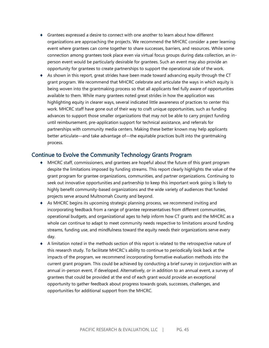- Grantees expressed a desire to connect with one another to learn about how different organizations are approaching the projects. We recommend the MHCRC consider a peer learning event where grantees can come together to share successes, barriers, and resources. While some connection among grantees took place even via virtual focus groups during data collection, an inperson event would be particularly desirable for grantees. Such an event may also provide an opportunity for grantees to create partnerships to support the operational side of the work.
- $\bullet$  As shown in this report, great strides have been made toward advancing equity through the CT grant program. We recommend that MHCRC celebrate and articulate the ways in which equity is being woven into the grantmaking process so that all applicants feel fully aware of opportunities available to them. While many grantees noted great strides in how the application was highlighting equity in clearer ways, several indicated little awareness of practices to center this work. MHCRC staff have gone out of their way to craft unique opportunities, such as funding advances to support those smaller organizations that may not be able to carry project funding until reimbursement, pre-application support for technical assistance, and referrals for partnerships with community media centers. Making these better known may help applicants better articulate—and take advantage of—the equitable practices built into the grantmaking process.

#### Continue to Evolve the Community Technology Grants Program

- MHCRC staff, commissioners, and grantees are hopeful about the future of this grant program despite the limitations imposed by funding streams. This report clearly highlights the value of the grant program for grantee organizations, communities, and partner organizations. Continuing to seek out innovative opportunities and partnership to keep this important work going is likely to highly benefit community-based organizations and the wide variety of audiences that funded projects serve around Multnomah County and beyond.
- As MHCRC begins its upcoming strategic planning process, we recommend inviting and incorporating feedback from a range of grantee representatives from different communities, operational budgets, and organizational ages to help inform how CT grants and the MHCRC as a whole can continue to adapt to meet community needs respective to limitations around funding streams, funding use, and mindfulness toward the equity needs their organizations serve every day.
- A limitation noted in the methods section of this report is related to the retrospective nature of this research study. To facilitate MHCRC's ability to continue to periodically look back at the impacts of the program, we recommend incorporating formative evaluation methods into the current grant program. This could be achieved by conducting a brief survey in conjunction with an annual in-person event, if developed. Alternatively, or in addition to an annual event, a survey of grantees that could be provided at the end of each grant would provide an exceptional opportunity to gather feedback about progress towards goals, successes, challenges, and opportunities for additional support from the MHCRC.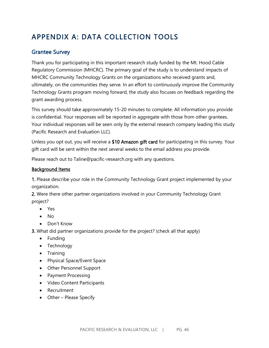# APPENDIX A: DATA COLLECTION TOOLS

# Grantee Survey

Thank you for participating in this important research study funded by the Mt. Hood Cable Regulatory Commission (MHCRC). The primary goal of the study is to understand impacts of MHCRC Community Technology Grants on the organizations who received grants and, ultimately, on the communities they serve. In an effort to continuously improve the Community Technology Grants program moving forward, the study also focuses on feedback regarding the grant awarding process.

This survey should take approximately 15-20 minutes to complete. All information you provide is confidential. Your responses will be reported in aggregate with those from other grantees. Your individual responses will be seen only by the external research company leading this study (Pacific Research and Evaluation LLC).

Unless you opt out, you will receive a \$10 Amazon gift card for participating in this survey. Your gift card will be sent within the next several weeks to the email address you provide.

Please reach out to Taline@pacific-research.org with any questions.

### Background Items

1. Please describe your role in the Community Technology Grant project implemented by your organization.

2. Were there other partner organizations involved in your Community Technology Grant project?

- Yes
- No
- Don't Know

3. What did partner organizations provide for the project? (check all that apply)

- Funding
- Technology
- Training
- Physical Space/Event Space
- Other Personnel Support
- Payment Processing
- Video Content Participants
- Recruitment
- Other Please Specify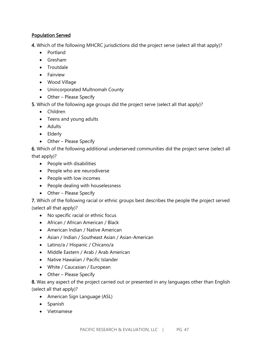### Population Served

4. Which of the following MHCRC jurisdictions did the project serve (select all that apply)?

- Portland
- Gresham
- Troutdale
- Fairview
- Wood Village
- Unincorporated Multnomah County
- Other Please Specify

5. Which of the following age groups did the project serve (select all that apply)?

- Children
- Teens and young adults
- Adults
- Elderly
- Other Please Specify

6. Which of the following additional underserved communities did the project serve (select all that apply)?

- People with disabilities
- People who are neurodiverse
- People with low incomes
- People dealing with houselessness
- Other Please Specify

7. Which of the following racial or ethnic groups best describes the people the project served (select all that apply)?

- No specific racial or ethnic focus
- African / African American / Black
- American Indian / Native American
- Asian / Indian / Southeast Asian / Asian-American
- Latino/a / Hispanic / Chicano/a
- Middle Eastern / Arab / Arab American
- Native Hawaiian / Pacific Islander
- White / Caucasian / European
- Other Please Specify

8. Was any aspect of the project carried out or presented in any languages other than English (select all that apply)?

- American Sign Language (ASL)
- Spanish
- Vietnamese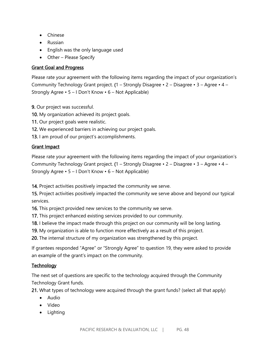- Chinese
- Russian
- English was the only language used
- Other Please Specify

### Grant Goal and Progress

Please rate your agreement with the following items regarding the impact of your organization's Community Technology Grant project. (1 – Strongly Disagree • 2 – Disagree • 3 – Agree • 4 – Strongly Agree • 5 – I Don't Know • 6 – Not Applicable)

- 9. Our project was successful.
- 10. My organization achieved its project goals.
- 11. Our project goals were realistic.
- 12. We experienced barriers in achieving our project goals.
- 13. I am proud of our project's accomplishments.

### Grant Impact

Please rate your agreement with the following items regarding the impact of your organization's Community Technology Grant project. (1 – Strongly Disagree • 2 – Disagree • 3 – Agree • 4 – Strongly Agree • 5 – I Don't Know • 6 – Not Applicable)

14. Project activities positively impacted the community we serve.

15. Project activities positively impacted the community we serve above and beyond our typical services.

16. This project provided new services to the community we serve.

17. This project enhanced existing services provided to our community.

18. I believe the impact made through this project on our community will be long lasting.

19. My organization is able to function more effectively as a result of this project.

20. The internal structure of my organization was strengthened by this project.

If grantees responded "Agree" or "Strongly Agree" to question 19, they were asked to provide an example of the grant's impact on the community.

## **Technology**

The next set of questions are specific to the technology acquired through the Community Technology Grant funds.

21. What types of technology were acquired through the grant funds? (select all that apply)

- Audio
- Video
- Lighting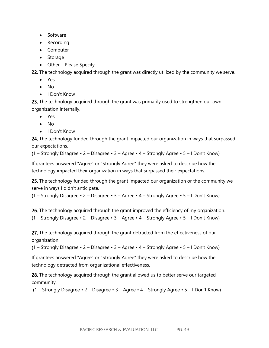- Software
- Recording
- Computer
- Storage
- Other Please Specify

22. The technology acquired through the grant was directly utilized by the community we serve.

- Yes
- No
- I Don't Know

23. The technology acquired through the grant was primarily used to strengthen our own organization internally.

- Yes
- No
- I Don't Know

24. The technology funded through the grant impacted our organization in ways that surpassed our expectations.

(1 – Strongly Disagree • 2 – Disagree • 3 – Agree • 4 – Strongly Agree • 5 – I Don't Know)

If grantees answered "Agree" or "Strongly Agree" they were asked to describe how the technology impacted their organization in ways that surpassed their expectations.

25. The technology funded through the grant impacted our organization or the community we serve in ways I didn't anticipate.

(1 – Strongly Disagree • 2 – Disagree • 3 – Agree • 4 – Strongly Agree • 5 – I Don't Know)

26. The technology acquired through the grant improved the efficiency of my organization. (1 – Strongly Disagree • 2 – Disagree • 3 – Agree • 4 – Strongly Agree • 5 – I Don't Know)

27. The technology acquired through the grant detracted from the effectiveness of our organization.

(1 – Strongly Disagree • 2 – Disagree • 3 – Agree • 4 – Strongly Agree • 5 – I Don't Know)

If grantees answered "Agree" or "Strongly Agree" they were asked to describe how the technology detracted from organizational effectiveness.

28. The technology acquired through the grant allowed us to better serve our targeted community.

(1 – Strongly Disagree • 2 – Disagree • 3 – Agree • 4 – Strongly Agree • 5 – I Don't Know)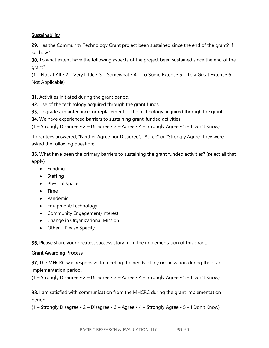### **Sustainability**

29. Has the Community Technology Grant project been sustained since the end of the grant? If so, how?

30. To what extent have the following aspects of the project been sustained since the end of the grant?

(1 – Not at All  $\cdot$  2 – Very Little  $\cdot$  3 – Somewhat  $\cdot$  4 – To Some Extent  $\cdot$  5 – To a Great Extent  $\cdot$  6 – Not Applicable)

31. Activities initiated during the grant period.

32. Use of the technology acquired through the grant funds.

33. Upgrades, maintenance, or replacement of the technology acquired through the grant.

34. We have experienced barriers to sustaining grant-funded activities.

(1 – Strongly Disagree • 2 – Disagree • 3 – Agree • 4 – Strongly Agree • 5 – I Don't Know)

If grantees answered, "Neither Agree nor Disagree", "Agree" or "Strongly Agree" they were asked the following question:

35. What have been the primary barriers to sustaining the grant funded activities? (select all that apply)

- Funding
- Staffing
- Physical Space
- Time
- Pandemic
- Equipment/Technology
- Community Engagement/Interest
- Change in Organizational Mission
- Other Please Specify

36. Please share your greatest success story from the implementation of this grant.

#### Grant Awarding Process

37. The MHCRC was responsive to meeting the needs of my organization during the grant implementation period.

(1 – Strongly Disagree • 2 – Disagree • 3 – Agree • 4 – Strongly Agree • 5 – I Don't Know)

38. I am satisfied with communication from the MHCRC during the grant implementation period.

(1 – Strongly Disagree • 2 – Disagree • 3 – Agree • 4 – Strongly Agree • 5 – I Don't Know)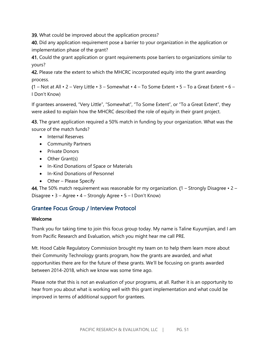39. What could be improved about the application process?

40. Did any application requirement pose a barrier to your organization in the application or implementation phase of the grant?

41. Could the grant application or grant requirements pose barriers to organizations similar to yours?

42. Please rate the extent to which the MHCRC incorporated equity into the grant awarding process.

(1 – Not at All  $\cdot$  2 – Very Little  $\cdot$  3 – Somewhat  $\cdot$  4 – To Some Extent  $\cdot$  5 – To a Great Extent  $\cdot$  6 – I Don't Know)

If grantees answered, "Very Little", "Somewhat", "To Some Extent", or "To a Great Extent", they were asked to explain how the MHCRC described the role of equity in their grant project.

43. The grant application required a 50% match in funding by your organization. What was the source of the match funds?

- Internal Reserves
- Community Partners
- Private Donors
- Other Grant(s)
- In-Kind Donations of Space or Materials
- In-Kind Donations of Personnel
- Other Please Specify

44. The 50% match requirement was reasonable for my organization. (1 – Strongly Disagree  $\cdot$  2 – Disagree • 3 – Agree • 4 – Strongly Agree • 5 – I Don't Know)

# Grantee Focus Group / Interview Protocol

#### Welcome

Thank you for taking time to join this focus group today. My name is Taline Kuyumjian, and I am from Pacific Research and Evaluation, which you might hear me call PRE.

Mt. Hood Cable Regulatory Commission brought my team on to help them learn more about their Community Technology grants program, how the grants are awarded, and what opportunities there are for the future of these grants. We'll be focusing on grants awarded between 2014-2018, which we know was some time ago.

Please note that this is not an evaluation of your programs, at all. Rather it is an opportunity to hear from you about what is working well with this grant implementation and what could be improved in terms of additional support for grantees.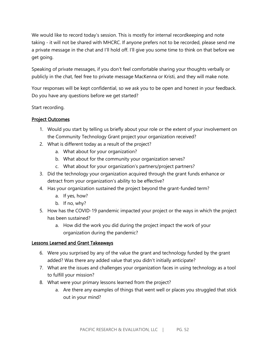We would like to record today's session. This is mostly for internal recordkeeping and note taking - it will not be shared with MHCRC. If anyone prefers not to be recorded, please send me a private message in the chat and I'll hold off. I'll give you some time to think on that before we get going.

Speaking of private messages, if you don't feel comfortable sharing your thoughts verbally or publicly in the chat, feel free to private message MacKenna or Kristi, and they will make note.

Your responses will be kept confidential, so we ask you to be open and honest in your feedback. Do you have any questions before we get started?

Start recording.

#### Project Outcomes

- 1. Would you start by telling us briefly about your role or the extent of your involvement on the Community Technology Grant project your organization received?
- 2. What is different today as a result of the project?
	- a. What about for your organization?
	- b. What about for the community your organization serves?
	- c. What about for your organization's partners/project partners?
- 3. Did the technology your organization acquired through the grant funds enhance or detract from your organization's ability to be effective?
- 4. Has your organization sustained the project beyond the grant-funded term?
	- a. If yes, how?
	- b. If no, why?
- 5. How has the COVID-19 pandemic impacted your project or the ways in which the project has been sustained?
	- a. How did the work you did during the project impact the work of your organization during the pandemic?

#### Lessons Learned and Grant Takeaways

- 6. Were you surprised by any of the value the grant and technology funded by the grant added? Was there any added value that you didn't initially anticipate?
- 7. What are the issues and challenges your organization faces in using technology as a tool to fulfill your mission?
- 8. What were your primary lessons learned from the project?
	- a. Are there any examples of things that went well or places you struggled that stick out in your mind?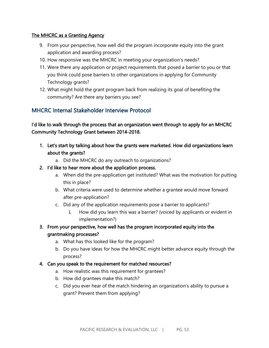#### The MHCRC as a Granting Agency

- 9. From your perspective, how well did the program incorporate equity into the grant application and awarding process?
- 10. How responsive was the MHCRC in meeting your organization's needs?
- 11. Were there any application or project requirements that posed a barrier to you or that you think could pose barriers to other organizations in applying for Community Technology grants?
- 12. What might hold the grant program back from realizing its goal of benefiting the community? Are there any barriers you see?

# MHCRC Internal Stakeholder Interview Protocol

I'd like to walk through the process that an organization went through to apply for an MHCRC Community Technology Grant between 2014-2018.

- 1. Let's start by talking about how the grants were marketed. How did organizations learn about the grants?
	- a. Did the MHCRC do any outreach to organizations?
- 2. I'd like to hear more about the application process.
	- a. When did the pre-application get instituted? What was the motivation for putting this in place?
	- b. What criteria were used to determine whether a grantee would move forward after pre-application?
	- c. Did any of the application requirements pose a barrier to applicants?
		- i. How did you learn this was a barrier? (voiced by applicants or evident in implementation?)
- 3. From your perspective, how well has the program incorporated equity into the grantmaking processes?
	- a. What has this looked like for the program?
	- b. Do you have ideas for how the MHCRC might better advance equity through the process?

#### 4. Can you speak to the requirement for matched resources?

- a. How realistic was this requirement for grantees?
- b. How did grantees make this match?
- c. Did you ever hear of the match hindering an organization's ability to pursue a grant? Prevent them from applying?